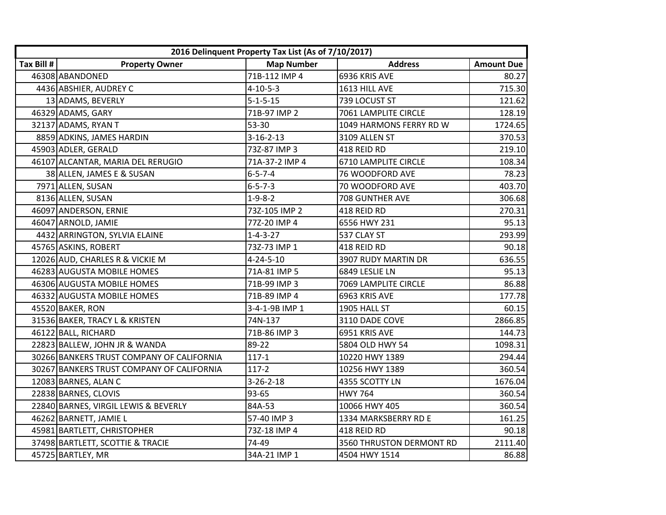|            |                                           | 2016 Delinquent Property Tax List (As of 7/10/2017) |                          |                   |
|------------|-------------------------------------------|-----------------------------------------------------|--------------------------|-------------------|
| Tax Bill # | <b>Property Owner</b>                     | <b>Map Number</b>                                   | <b>Address</b>           | <b>Amount Due</b> |
|            | 46308 ABANDONED                           | 71B-112 IMP 4                                       | 6936 KRIS AVE            | 80.27             |
|            | 4436 ABSHIER, AUDREY C                    | $4 - 10 - 5 - 3$                                    | 1613 HILL AVE            | 715.30            |
|            | 13 ADAMS, BEVERLY                         | $5 - 1 - 5 - 15$                                    | 739 LOCUST ST            | 121.62            |
|            | 46329 ADAMS, GARY                         | 71B-97 IMP 2                                        | 7061 LAMPLITE CIRCLE     | 128.19            |
|            | 32137 ADAMS, RYAN T                       | 53-30                                               | 1049 HARMONS FERRY RD W  | 1724.65           |
|            | 8859 ADKINS, JAMES HARDIN                 | $3 - 16 - 2 - 13$                                   | 3109 ALLEN ST            | 370.53            |
|            | 45903 ADLER, GERALD                       | 73Z-87 IMP 3                                        | 418 REID RD              | 219.10            |
|            | 46107 ALCANTAR, MARIA DEL RERUGIO         | 71A-37-2 IMP 4                                      | 6710 LAMPLITE CIRCLE     | 108.34            |
|            | 38 ALLEN, JAMES E & SUSAN                 | $6 - 5 - 7 - 4$                                     | 76 WOODFORD AVE          | 78.23             |
|            | 7971 ALLEN, SUSAN                         | $6 - 5 - 7 - 3$                                     | 70 WOODFORD AVE          | 403.70            |
|            | 8136 ALLEN, SUSAN                         | $1 - 9 - 8 - 2$                                     | 708 GUNTHER AVE          | 306.68            |
|            | 46097 ANDERSON, ERNIE                     | 73Z-105 IMP 2                                       | 418 REID RD              | 270.31            |
|            | 46047 ARNOLD, JAMIE                       | 77Z-20 IMP 4                                        | 6556 HWY 231             | 95.13             |
|            | 4432 ARRINGTON, SYLVIA ELAINE             | $1 - 4 - 3 - 27$                                    | 537 CLAY ST              | 293.99            |
|            | 45765 ASKINS, ROBERT                      | 73Z-73 IMP 1                                        | 418 REID RD              | 90.18             |
|            | 12026 AUD, CHARLES R & VICKIE M           | $4 - 24 - 5 - 10$                                   | 3907 RUDY MARTIN DR      | 636.55            |
|            | 46283 AUGUSTA MOBILE HOMES                | 71A-81 IMP 5                                        | 6849 LESLIE LN           | 95.13             |
|            | 46306 AUGUSTA MOBILE HOMES                | 71B-99 IMP 3                                        | 7069 LAMPLITE CIRCLE     | 86.88             |
|            | 46332 AUGUSTA MOBILE HOMES                | 71B-89 IMP 4                                        | 6963 KRIS AVE            | 177.78            |
|            | 45520 BAKER, RON                          | 3-4-1-9B IMP 1                                      | 1905 HALL ST             | 60.15             |
|            | 31536 BAKER, TRACY L & KRISTEN            | 74N-137                                             | 3110 DADE COVE           | 2866.85           |
|            | 46122 BALL, RICHARD                       | 71B-86 IMP 3                                        | 6951 KRIS AVE            | 144.73            |
|            | 22823 BALLEW, JOHN JR & WANDA             | 89-22                                               | 5804 OLD HWY 54          | 1098.31           |
|            | 30266 BANKERS TRUST COMPANY OF CALIFORNIA | $117-1$                                             | 10220 HWY 1389           | 294.44            |
|            | 30267 BANKERS TRUST COMPANY OF CALIFORNIA | $117-2$                                             | 10256 HWY 1389           | 360.54            |
|            | 12083 BARNES, ALAN C                      | $3 - 26 - 2 - 18$                                   | 4355 SCOTTY LN           | 1676.04           |
|            | 22838 BARNES, CLOVIS                      | 93-65                                               | <b>HWY 764</b>           | 360.54            |
|            | 22840 BARNES, VIRGIL LEWIS & BEVERLY      | 84A-53                                              | 10066 HWY 405            | 360.54            |
|            | 46262 BARNETT, JAMIE L                    | 57-40 IMP 3                                         | 1334 MARKSBERRY RD E     | 161.25            |
|            | 45981 BARTLETT, CHRISTOPHER               | 73Z-18 IMP 4                                        | 418 REID RD              | 90.18             |
|            | 37498 BARTLETT, SCOTTIE & TRACIE          | 74-49                                               | 3560 THRUSTON DERMONT RD | 2111.40           |
|            | 45725 BARTLEY, MR                         | 34A-21 IMP 1                                        | 4504 HWY 1514            | 86.88             |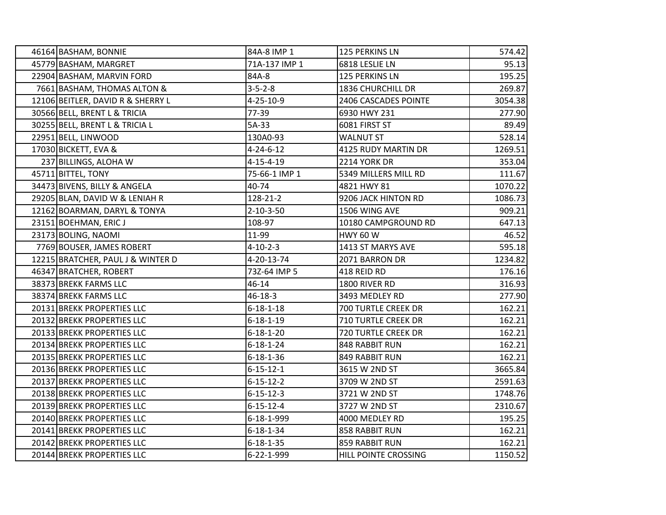| 46164 BASHAM, BONNIE              | 84A-8 IMP 1       | 125 PERKINS LN       | 574.42  |
|-----------------------------------|-------------------|----------------------|---------|
| 45779 BASHAM, MARGRET             | 71A-137 IMP 1     | 6818 LESLIE LN       | 95.13   |
| 22904 BASHAM, MARVIN FORD         | 84A-8             | 125 PERKINS LN       | 195.25  |
| 7661 BASHAM, THOMAS ALTON &       | $3 - 5 - 2 - 8$   | 1836 CHURCHILL DR    | 269.87  |
| 12106 BEITLER, DAVID R & SHERRY L | 4-25-10-9         | 2406 CASCADES POINTE | 3054.38 |
| 30566 BELL, BRENT L & TRICIA      | 77-39             | 6930 HWY 231         | 277.90  |
| 30255 BELL, BRENT L & TRICIA L    | 5A-33             | 6081 FIRST ST        | 89.49   |
| 22951 BELL, LINWOOD               | 130A0-93          | <b>WALNUT ST</b>     | 528.14  |
| 17030 BICKETT, EVA &              | $4 - 24 - 6 - 12$ | 4125 RUDY MARTIN DR  | 1269.51 |
| 237 BILLINGS, ALOHA W             | $4 - 15 - 4 - 19$ | 2214 YORK DR         | 353.04  |
| 45711 BITTEL, TONY                | 75-66-1 IMP 1     | 5349 MILLERS MILL RD | 111.67  |
| 34473 BIVENS, BILLY & ANGELA      | 40-74             | 4821 HWY 81          | 1070.22 |
| 29205 BLAN, DAVID W & LENIAH R    | 128-21-2          | 9206 JACK HINTON RD  | 1086.73 |
| 12162 BOARMAN, DARYL & TONYA      | $2 - 10 - 3 - 50$ | 1506 WING AVE        | 909.21  |
| 23151 BOEHMAN, ERIC J             | 108-97            | 10180 CAMPGROUND RD  | 647.13  |
| 23173 BOLING, NAOMI               | 11-99             | <b>HWY 60 W</b>      | 46.52   |
| 7769 BOUSER, JAMES ROBERT         | $4 - 10 - 2 - 3$  | 1413 ST MARYS AVE    | 595.18  |
| 12215 BRATCHER, PAUL J & WINTER D | 4-20-13-74        | 2071 BARRON DR       | 1234.82 |
| 46347 BRATCHER, ROBERT            | 73Z-64 IMP 5      | 418 REID RD          | 176.16  |
| 38373 BREKK FARMS LLC             | 46-14             | 1800 RIVER RD        | 316.93  |
| 38374 BREKK FARMS LLC             | 46-18-3           | 3493 MEDLEY RD       | 277.90  |
| 20131 BREKK PROPERTIES LLC        | $6 - 18 - 1 - 18$ | 700 TURTLE CREEK DR  | 162.21  |
| 20132 BREKK PROPERTIES LLC        | $6 - 18 - 1 - 19$ | 710 TURTLE CREEK DR  | 162.21  |
| 20133 BREKK PROPERTIES LLC        | $6 - 18 - 1 - 20$ | 720 TURTLE CREEK DR  | 162.21  |
| 20134 BREKK PROPERTIES LLC        | $6 - 18 - 1 - 24$ | 848 RABBIT RUN       | 162.21  |
| 20135 BREKK PROPERTIES LLC        | $6 - 18 - 1 - 36$ | 849 RABBIT RUN       | 162.21  |
| 20136 BREKK PROPERTIES LLC        | $6 - 15 - 12 - 1$ | 3615 W 2ND ST        | 3665.84 |
| 20137 BREKK PROPERTIES LLC        | $6 - 15 - 12 - 2$ | 3709 W 2ND ST        | 2591.63 |
| 20138 BREKK PROPERTIES LLC        | $6 - 15 - 12 - 3$ | 3721 W 2ND ST        | 1748.76 |
| 20139 BREKK PROPERTIES LLC        | $6 - 15 - 12 - 4$ | 3727 W 2ND ST        | 2310.67 |
| 20140 BREKK PROPERTIES LLC        | 6-18-1-999        | 4000 MEDLEY RD       | 195.25  |
| 20141 BREKK PROPERTIES LLC        | $6 - 18 - 1 - 34$ | 858 RABBIT RUN       | 162.21  |
| 20142 BREKK PROPERTIES LLC        | $6 - 18 - 1 - 35$ | 859 RABBIT RUN       | 162.21  |
| 20144 BREKK PROPERTIES LLC        | 6-22-1-999        | HILL POINTE CROSSING | 1150.52 |
|                                   |                   |                      |         |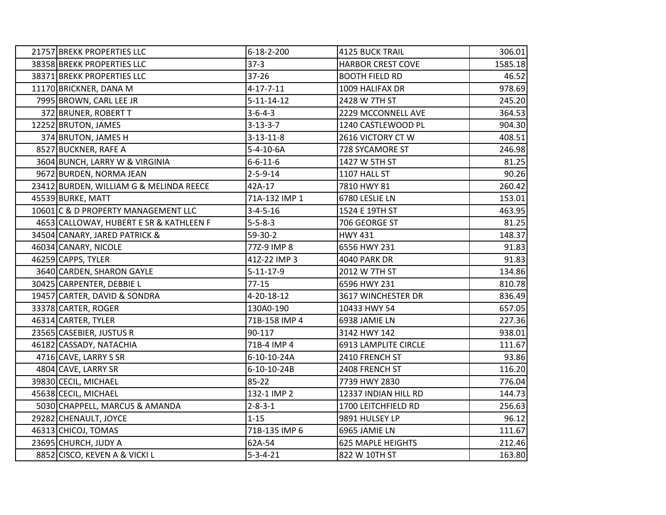| 21757 BREKK PROPERTIES LLC              | $6 - 18 - 2 - 200$ | <b>4125 BUCK TRAIL</b>   | 306.01  |
|-----------------------------------------|--------------------|--------------------------|---------|
| 38358 BREKK PROPERTIES LLC              | $37-3$             | <b>HARBOR CREST COVE</b> | 1585.18 |
| 38371 BREKK PROPERTIES LLC              | $37 - 26$          | <b>BOOTH FIELD RD</b>    | 46.52   |
| 11170 BRICKNER, DANA M                  | $4 - 17 - 7 - 11$  | 1009 HALIFAX DR          | 978.69  |
| 7995 BROWN, CARL LEE JR                 | $5 - 11 - 14 - 12$ | 2428 W 7TH ST            | 245.20  |
| 372 BRUNER, ROBERT T                    | $3 - 6 - 4 - 3$    | 2229 MCCONNELL AVE       | 364.53  |
| 12252 BRUTON, JAMES                     | $3 - 13 - 3 - 7$   | 1240 CASTLEWOOD PL       | 904.30  |
| 374 BRUTON, JAMES H                     | $3 - 13 - 11 - 8$  | 2616 VICTORY CT W        | 408.51  |
| 8527 BUCKNER, RAFE A                    | $5 - 4 - 10 - 6A$  | 728 SYCAMORE ST          | 246.98  |
| 3604 BUNCH, LARRY W & VIRGINIA          | $6 - 6 - 11 - 6$   | 1427 W 5TH ST            | 81.25   |
| 9672 BURDEN, NORMA JEAN                 | $2 - 5 - 9 - 14$   | 1107 HALL ST             | 90.26   |
| 23412 BURDEN, WILLIAM G & MELINDA REECE | 42A-17             | 7810 HWY 81              | 260.42  |
| 45539 BURKE, MATT                       | 71A-132 IMP 1      | 6780 LESLIE LN           | 153.01  |
| 10601 C & D PROPERTY MANAGEMENT LLC     | $3 - 4 - 5 - 16$   | 1524 E 19TH ST           | 463.95  |
| 4653 CALLOWAY, HUBERT E SR & KATHLEEN F | $5 - 5 - 8 - 3$    | 706 GEORGE ST            | 81.25   |
| 34504 CANARY, JARED PATRICK &           | 59-30-2            | <b>HWY 431</b>           | 148.37  |
| 46034 CANARY, NICOLE                    | 77Z-9 IMP 8        | 6556 HWY 231             | 91.83   |
| 46259 CAPPS, TYLER                      | 41Z-22 IMP 3       | <b>4040 PARK DR</b>      | 91.83   |
| 3640 CARDEN, SHARON GAYLE               | $5 - 11 - 17 - 9$  | 2012 W 7TH ST            | 134.86  |
| 30425 CARPENTER, DEBBIE L               | $77-15$            | 6596 HWY 231             | 810.78  |
| 19457 CARTER, DAVID & SONDRA            | 4-20-18-12         | 3617 WINCHESTER DR       | 836.49  |
| 33378 CARTER, ROGER                     | 130A0-190          | 10433 HWY 54             | 657.05  |
| 46314 CARTER, TYLER                     | 71B-158 IMP 4      | 6938 JAMIE LN            | 227.36  |
| 23565 CASEBIER, JUSTUS R                | 90-117             | 3142 HWY 142             | 938.01  |
| 46182 CASSADY, NATACHIA                 | 71B-4 IMP 4        | 6913 LAMPLITE CIRCLE     | 111.67  |
| 4716 CAVE, LARRY S SR                   | 6-10-10-24A        | 2410 FRENCH ST           | 93.86   |
| 4804 CAVE, LARRY SR                     | 6-10-10-24B        | 2408 FRENCH ST           | 116.20  |
| 39830 CECIL, MICHAEL                    | $85 - 22$          | 7739 HWY 2830            | 776.04  |
| 45638 CECIL, MICHAEL                    | 132-1 IMP 2        | 12337 INDIAN HILL RD     | 144.73  |
| 5030 CHAPPELL, MARCUS & AMANDA          | $2 - 8 - 3 - 1$    | 1700 LEITCHFIELD RD      | 256.63  |
| 29282 CHENAULT, JOYCE                   | $1 - 15$           | 9891 HULSEY LP           | 96.12   |
| 46313 CHICOJ, TOMAS                     | 71B-135 IMP 6      | 6965 JAMIE LN            | 111.67  |
| 23695 CHURCH, JUDY A                    | 62A-54             | <b>625 MAPLE HEIGHTS</b> | 212.46  |
| 8852 CISCO, KEVEN A & VICKI L           | $5 - 3 - 4 - 21$   | 822 W 10TH ST            | 163.80  |
|                                         |                    |                          |         |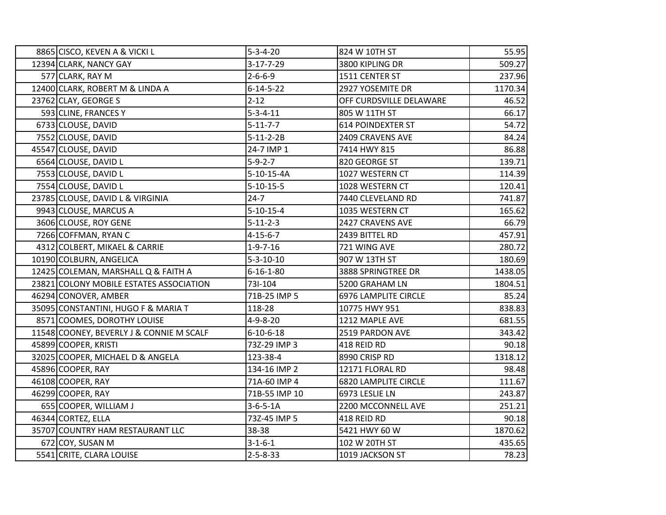| 8865 CISCO, KEVEN A & VICKI L            | $5 - 3 - 4 - 20$  | 824 W 10TH ST               | 55.95   |
|------------------------------------------|-------------------|-----------------------------|---------|
| 12394 CLARK, NANCY GAY                   | $3 - 17 - 7 - 29$ | 3800 KIPLING DR             | 509.27  |
| 577 CLARK, RAY M                         | $2 - 6 - 6 - 9$   | 1511 CENTER ST              | 237.96  |
| 12400 CLARK, ROBERT M & LINDA A          | $6 - 14 - 5 - 22$ | 2927 YOSEMITE DR            | 1170.34 |
| 23762 CLAY, GEORGE S                     | $2 - 12$          | OFF CURDSVILLE DELAWARE     | 46.52   |
| 593 CLINE, FRANCES Y                     | $5 - 3 - 4 - 11$  | 805 W 11TH ST               | 66.17   |
| 6733 CLOUSE, DAVID                       | $5 - 11 - 7 - 7$  | <b>614 POINDEXTER ST</b>    | 54.72   |
| 7552 CLOUSE, DAVID                       | $5 - 11 - 2 - 2B$ | 2409 CRAVENS AVE            | 84.24   |
| 45547 CLOUSE, DAVID                      | 24-7 IMP 1        | 7414 HWY 815                | 86.88   |
| 6564 CLOUSE, DAVID L                     | $5 - 9 - 2 - 7$   | 820 GEORGE ST               | 139.71  |
| 7553 CLOUSE, DAVID L                     | $5-10-15-4A$      | 1027 WESTERN CT             | 114.39  |
| 7554 CLOUSE, DAVID L                     | $5 - 10 - 15 - 5$ | 1028 WESTERN CT             | 120.41  |
| 23785 CLOUSE, DAVID L & VIRGINIA         | $24 - 7$          | 7440 CLEVELAND RD           | 741.87  |
| 9943 CLOUSE, MARCUS A                    | $5 - 10 - 15 - 4$ | 1035 WESTERN CT             | 165.62  |
| 3606 CLOUSE, ROY GENE                    | $5 - 11 - 2 - 3$  | 2427 CRAVENS AVE            | 66.79   |
| 7266 COFFMAN, RYAN C                     | $4 - 15 - 6 - 7$  | 2439 BITTEL RD              | 457.91  |
| 4312 COLBERT, MIKAEL & CARRIE            | $1 - 9 - 7 - 16$  | 721 WING AVE                | 280.72  |
| 10190 COLBURN, ANGELICA                  | $5 - 3 - 10 - 10$ | 907 W 13TH ST               | 180.69  |
| 12425 COLEMAN, MARSHALL Q & FAITH A      | $6 - 16 - 1 - 80$ | 3888 SPRINGTREE DR          | 1438.05 |
| 23821 COLONY MOBILE ESTATES ASSOCIATION  | 731-104           | 5200 GRAHAM LN              | 1804.51 |
| 46294 CONOVER, AMBER                     | 71B-25 IMP 5      | <b>6976 LAMPLITE CIRCLE</b> | 85.24   |
| 35095 CONSTANTINI, HUGO F & MARIA T      | 118-28            | 10775 HWY 951               | 838.83  |
| 8571 COOMES, DOROTHY LOUISE              | $4 - 9 - 8 - 20$  | 1212 MAPLE AVE              | 681.55  |
| 11548 COONEY, BEVERLY J & CONNIE M SCALF | $6 - 10 - 6 - 18$ | 2519 PARDON AVE             | 343.42  |
| 45899 COOPER, KRISTI                     | 73Z-29 IMP 3      | 418 REID RD                 | 90.18   |
| 32025 COOPER, MICHAEL D & ANGELA         | 123-38-4          | 8990 CRISP RD               | 1318.12 |
| 45896 COOPER, RAY                        | 134-16 IMP 2      | 12171 FLORAL RD             | 98.48   |
| 46108 COOPER, RAY                        | 71A-60 IMP 4      | <b>6820 LAMPLITE CIRCLE</b> | 111.67  |
| 46299 COOPER, RAY                        | 71B-55 IMP 10     | 6973 LESLIE LN              | 243.87  |
| 655 COOPER, WILLIAM J                    | $3-6-5-1A$        | 2200 MCCONNELL AVE          | 251.21  |
| 46344 CORTEZ, ELLA                       | 73Z-45 IMP 5      | 418 REID RD                 | 90.18   |
| 35707 COUNTRY HAM RESTAURANT LLC         | 38-38             | 5421 HWY 60 W               | 1870.62 |
| 672 COY, SUSAN M                         | $3 - 1 - 6 - 1$   | 102 W 20TH ST               | 435.65  |
| 5541 CRITE, CLARA LOUISE                 | $2 - 5 - 8 - 33$  | 1019 JACKSON ST             | 78.23   |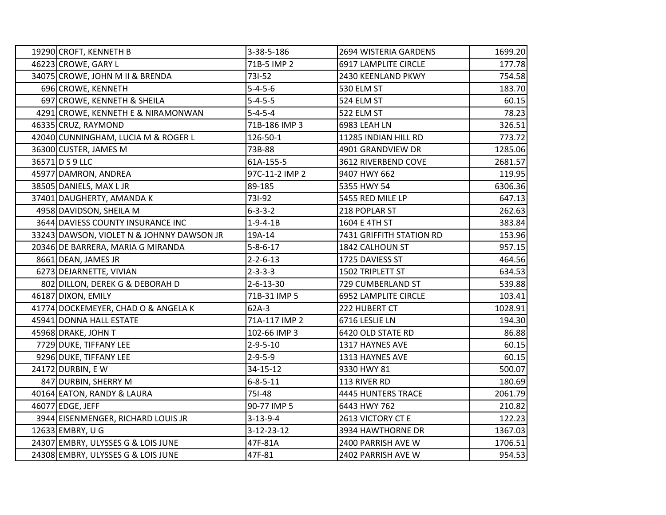| 19290 CROFT, KENNETH B                    | 3-38-5-186         | 2694 WISTERIA GARDENS       | 1699.20 |
|-------------------------------------------|--------------------|-----------------------------|---------|
| 46223 CROWE, GARY L                       | 71B-5 IMP 2        | 6917 LAMPLITE CIRCLE        | 177.78  |
| 34075 CROWE, JOHN M II & BRENDA           | 731-52             | 2430 KEENLAND PKWY          | 754.58  |
| 696 CROWE, KENNETH                        | $5 - 4 - 5 - 6$    | 530 ELM ST                  | 183.70  |
| 697 CROWE, KENNETH & SHEILA               | $5 - 4 - 5 - 5$    | 524 ELM ST                  | 60.15   |
| 4291 CROWE, KENNETH E & NIRAMONWAN        | $5 - 4 - 5 - 4$    | 522 ELM ST                  | 78.23   |
| 46335 CRUZ, RAYMOND                       | 71B-186 IMP 3      | 6983 LEAH LN                | 326.51  |
| 42040 CUNNINGHAM, LUCIA M & ROGER L       | 126-50-1           | 11285 INDIAN HILL RD        | 773.72  |
| 36300 CUSTER, JAMES M                     | 73B-88             | 4901 GRANDVIEW DR           | 1285.06 |
| 36571 D S 9 LLC                           | 61A-155-5          | 3612 RIVERBEND COVE         | 2681.57 |
| 45977 DAMRON, ANDREA                      | 97C-11-2 IMP 2     | 9407 HWY 662                | 119.95  |
| 38505 DANIELS, MAX L JR                   | 89-185             | 5355 HWY 54                 | 6306.36 |
| 37401 DAUGHERTY, AMANDA K                 | 731-92             | 5455 RED MILE LP            | 647.13  |
| 4958 DAVIDSON, SHEILA M                   | $6 - 3 - 3 - 2$    | 218 POPLAR ST               | 262.63  |
| 3644 DAVIESS COUNTY INSURANCE INC         | $1 - 9 - 4 - 1B$   | 1604 E 4TH ST               | 383.84  |
| 33243 DAWSON, VIOLET N & JOHNNY DAWSON JR | 19A-14             | 7431 GRIFFITH STATION RD    | 153.96  |
| 20346 DE BARRERA, MARIA G MIRANDA         | $5 - 8 - 6 - 17$   | 1842 CALHOUN ST             | 957.15  |
| 8661 DEAN, JAMES JR                       | $2 - 2 - 6 - 13$   | 1725 DAVIESS ST             | 464.56  |
| 6273 DEJARNETTE, VIVIAN                   | $2 - 3 - 3 - 3$    | 1502 TRIPLETT ST            | 634.53  |
| 802 DILLON, DEREK G & DEBORAH D           | $2 - 6 - 13 - 30$  | 729 CUMBERLAND ST           | 539.88  |
| 46187 DIXON, EMILY                        | 71B-31 IMP 5       | <b>6952 LAMPLITE CIRCLE</b> | 103.41  |
| 41774 DOCKEMEYER, CHAD O & ANGELA K       | $62A-3$            | 222 HUBERT CT               | 1028.91 |
| 45941 DONNA HALL ESTATE                   | 71A-117 IMP 2      | 6716 LESLIE LN              | 194.30  |
| 45968 DRAKE, JOHN T                       | 102-66 IMP 3       | 6420 OLD STATE RD           | 86.88   |
| 7729 DUKE, TIFFANY LEE                    | $2 - 9 - 5 - 10$   | 1317 HAYNES AVE             | 60.15   |
| 9296 DUKE, TIFFANY LEE                    | $2 - 9 - 5 - 9$    | 1313 HAYNES AVE             | 60.15   |
| 24172 DURBIN, E W                         | 34-15-12           | 9330 HWY 81                 | 500.07  |
| 847 DURBIN, SHERRY M                      | $6 - 8 - 5 - 11$   | 113 RIVER RD                | 180.69  |
| 40164 EATON, RANDY & LAURA                | 751-48             | <b>4445 HUNTERS TRACE</b>   | 2061.79 |
| 46077 EDGE, JEFF                          | 90-77 IMP 5        | 6443 HWY 762                | 210.82  |
| 3944 EISENMENGER, RICHARD LOUIS JR        | $3 - 13 - 9 - 4$   | 2613 VICTORY CT E           | 122.23  |
| 12633 EMBRY, U G                          | $3 - 12 - 23 - 12$ | 3934 HAWTHORNE DR           | 1367.03 |
| 24307 EMBRY, ULYSSES G & LOIS JUNE        | 47F-81A            | 2400 PARRISH AVE W          | 1706.51 |
| 24308 EMBRY, ULYSSES G & LOIS JUNE        | 47F-81             | 2402 PARRISH AVE W          | 954.53  |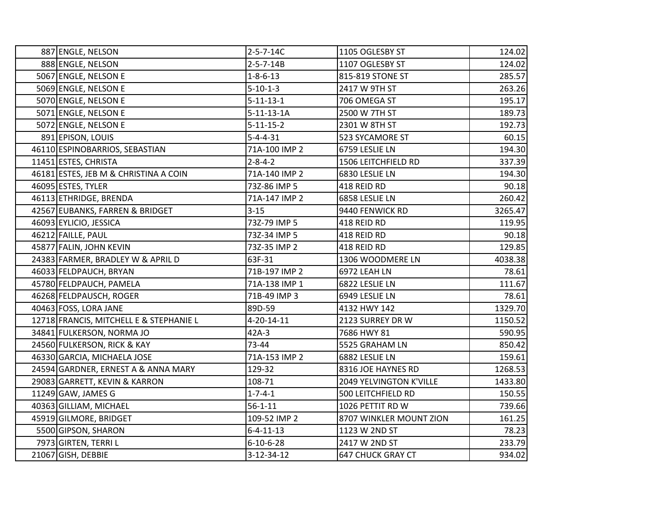| 887 ENGLE, NELSON                       | $2 - 5 - 7 - 14C$  | 1105 OGLESBY ST           | 124.02  |
|-----------------------------------------|--------------------|---------------------------|---------|
| 888 ENGLE, NELSON                       | $2 - 5 - 7 - 14B$  | 1107 OGLESBY ST           | 124.02  |
| 5067 ENGLE, NELSON E                    | $1 - 8 - 6 - 13$   | 815-819 STONE ST          | 285.57  |
| 5069 ENGLE, NELSON E                    | $5 - 10 - 1 - 3$   | 2417 W 9TH ST             | 263.26  |
| 5070 ENGLE, NELSON E                    | $5 - 11 - 13 - 1$  | 706 OMEGA ST              | 195.17  |
| 5071 ENGLE, NELSON E                    | $5 - 11 - 13 - 1A$ | 2500 W 7TH ST             | 189.73  |
| 5072 ENGLE, NELSON E                    | $5 - 11 - 15 - 2$  | 2301 W 8TH ST             | 192.73  |
| 891 EPISON, LOUIS                       | $5 - 4 - 4 - 31$   | 523 SYCAMORE ST           | 60.15   |
| 46110 ESPINOBARRIOS, SEBASTIAN          | 71A-100 IMP 2      | 6759 LESLIE LN            | 194.30  |
| 11451 ESTES, CHRISTA                    | $2 - 8 - 4 - 2$    | 1506 LEITCHFIELD RD       | 337.39  |
| 46181 ESTES, JEB M & CHRISTINA A COIN   | 71A-140 IMP 2      | 6830 LESLIE LN            | 194.30  |
| 46095 ESTES, TYLER                      | 73Z-86 IMP 5       | 418 REID RD               | 90.18   |
| 46113 ETHRIDGE, BRENDA                  | 71A-147 IMP 2      | 6858 LESLIE LN            | 260.42  |
| 42567 EUBANKS, FARREN & BRIDGET         | $3 - 15$           | 9440 FENWICK RD           | 3265.47 |
| 46093 EYLICIO, JESSICA                  | 73Z-79 IMP 5       | 418 REID RD               | 119.95  |
| 46212 FAILLE, PAUL                      | 73Z-34 IMP 5       | 418 REID RD               | 90.18   |
| 45877 FALIN, JOHN KEVIN                 | 73Z-35 IMP 2       | 418 REID RD               | 129.85  |
| 24383 FARMER, BRADLEY W & APRIL D       | 63F-31             | 1306 WOODMERE LN          | 4038.38 |
| 46033 FELDPAUCH, BRYAN                  | 71B-197 IMP 2      | 6972 LEAH LN              | 78.61   |
| 45780 FELDPAUCH, PAMELA                 | 71A-138 IMP 1      | 6822 LESLIE LN            | 111.67  |
| 46268 FELDPAUSCH, ROGER                 | 71B-49 IMP 3       | 6949 LESLIE LN            | 78.61   |
| 40463 FOSS, LORA JANE                   | 89D-59             | 4132 HWY 142              | 1329.70 |
| 12718 FRANCIS, MITCHELL E & STEPHANIE L | 4-20-14-11         | 2123 SURREY DR W          | 1150.52 |
| 34841 FULKERSON, NORMA JO               | 42A-3              | 7686 HWY 81               | 590.95  |
| 24560 FULKERSON, RICK & KAY             | 73-44              | 5525 GRAHAM LN            | 850.42  |
| 46330 GARCIA, MICHAELA JOSE             | 71A-153 IMP 2      | 6882 LESLIE LN            | 159.61  |
| 24594 GARDNER, ERNEST A & ANNA MARY     | 129-32             | 8316 JOE HAYNES RD        | 1268.53 |
| 29083 GARRETT, KEVIN & KARRON           | 108-71             | 2049 YELVINGTON K'VILLE   | 1433.80 |
| 11249 GAW, JAMES G                      | $1 - 7 - 4 - 1$    | <b>500 LEITCHFIELD RD</b> | 150.55  |
| 40363 GILLIAM, MICHAEL                  | $56 - 1 - 11$      | 1026 PETTIT RD W          | 739.66  |
| 45919 GILMORE, BRIDGET                  | 109-52 IMP 2       | 8707 WINKLER MOUNT ZION   | 161.25  |
| 5500 GIPSON, SHARON                     | $6 - 4 - 11 - 13$  | 1123 W 2ND ST             | 78.23   |
| 7973 GIRTEN, TERRI L                    | $6 - 10 - 6 - 28$  | 2417 W 2ND ST             | 233.79  |
| 21067 GISH, DEBBIE                      | $3 - 12 - 34 - 12$ | <b>647 CHUCK GRAY CT</b>  | 934.02  |
|                                         |                    |                           |         |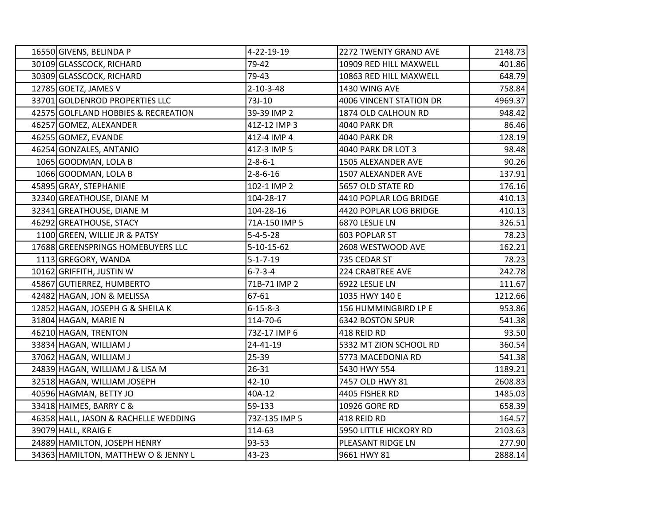| 16550 GIVENS, BELINDA P              | 4-22-19-19         | 2272 TWENTY GRAND AVE   | 2148.73 |
|--------------------------------------|--------------------|-------------------------|---------|
| 30109 GLASSCOCK, RICHARD             | 79-42              | 10909 RED HILL MAXWELL  | 401.86  |
| 30309 GLASSCOCK, RICHARD             | 79-43              | 10863 RED HILL MAXWELL  | 648.79  |
| 12785 GOETZ, JAMES V                 | $2 - 10 - 3 - 48$  | 1430 WING AVE           | 758.84  |
| 33701 GOLDENROD PROPERTIES LLC       | 73J-10             | 4006 VINCENT STATION DR | 4969.37 |
| 42575 GOLFLAND HOBBIES & RECREATION  | 39-39 IMP 2        | 1874 OLD CALHOUN RD     | 948.42  |
| 46257 GOMEZ, ALEXANDER               | 41Z-12 IMP 3       | 4040 PARK DR            | 86.46   |
| 46255 GOMEZ, EVANDE                  | 41Z-4 IMP 4        | <b>4040 PARK DR</b>     | 128.19  |
| 46254 GONZALES, ANTANIO              | 41Z-3 IMP 5        | 4040 PARK DR LOT 3      | 98.48   |
| 1065 GOODMAN, LOLA B                 | $2 - 8 - 6 - 1$    | 1505 ALEXANDER AVE      | 90.26   |
| 1066 GOODMAN, LOLA B                 | $2 - 8 - 6 - 16$   | 1507 ALEXANDER AVE      | 137.91  |
| 45895 GRAY, STEPHANIE                | 102-1 IMP 2        | 5657 OLD STATE RD       | 176.16  |
| 32340 GREATHOUSE, DIANE M            | 104-28-17          | 4410 POPLAR LOG BRIDGE  | 410.13  |
| 32341 GREATHOUSE, DIANE M            | 104-28-16          | 4420 POPLAR LOG BRIDGE  | 410.13  |
| 46292 GREATHOUSE, STACY              | 71A-150 IMP 5      | 6870 LESLIE LN          | 326.51  |
| 1100 GREEN, WILLIE JR & PATSY        | $5 - 4 - 5 - 28$   | 603 POPLAR ST           | 78.23   |
| 17688 GREENSPRINGS HOMEBUYERS LLC    | $5 - 10 - 15 - 62$ | 2608 WESTWOOD AVE       | 162.21  |
| 1113 GREGORY, WANDA                  | $5 - 1 - 7 - 19$   | 735 CEDAR ST            | 78.23   |
| 10162 GRIFFITH, JUSTIN W             | $6 - 7 - 3 - 4$    | <b>224 CRABTREE AVE</b> | 242.78  |
| 45867 GUTIERREZ, HUMBERTO            | 71B-71 IMP 2       | 6922 LESLIE LN          | 111.67  |
| 42482 HAGAN, JON & MELISSA           | 67-61              | 1035 HWY 140 E          | 1212.66 |
| 12852 HAGAN, JOSEPH G & SHEILA K     | $6 - 15 - 8 - 3$   | 156 HUMMINGBIRD LP E    | 953.86  |
| 31804 HAGAN, MARIE N                 | 114-70-6           | <b>6342 BOSTON SPUR</b> | 541.38  |
| 46210 HAGAN, TRENTON                 | 73Z-17 IMP 6       | 418 REID RD             | 93.50   |
| 33834 HAGAN, WILLIAM J               | 24-41-19           | 5332 MT ZION SCHOOL RD  | 360.54  |
| 37062 HAGAN, WILLIAM J               | 25-39              | 5773 MACEDONIA RD       | 541.38  |
| 24839 HAGAN, WILLIAM J & LISA M      | 26-31              | 5430 HWY 554            | 1189.21 |
| 32518 HAGAN, WILLIAM JOSEPH          | $42 - 10$          | 7457 OLD HWY 81         | 2608.83 |
| 40596 HAGMAN, BETTY JO               | 40A-12             | 4405 FISHER RD          | 1485.03 |
| 33418 HAIMES, BARRY C &              | 59-133             | 10926 GORE RD           | 658.39  |
| 46358 HALL, JASON & RACHELLE WEDDING | 73Z-135 IMP 5      | 418 REID RD             | 164.57  |
| 39079 HALL, KRAIG E                  | 114-63             | 5950 LITTLE HICKORY RD  | 2103.63 |
| 24889 HAMILTON, JOSEPH HENRY         | 93-53              | PLEASANT RIDGE LN       | 277.90  |
| 34363 HAMILTON, MATTHEW O & JENNY L  | $43 - 23$          | 9661 HWY 81             | 2888.14 |
|                                      |                    |                         |         |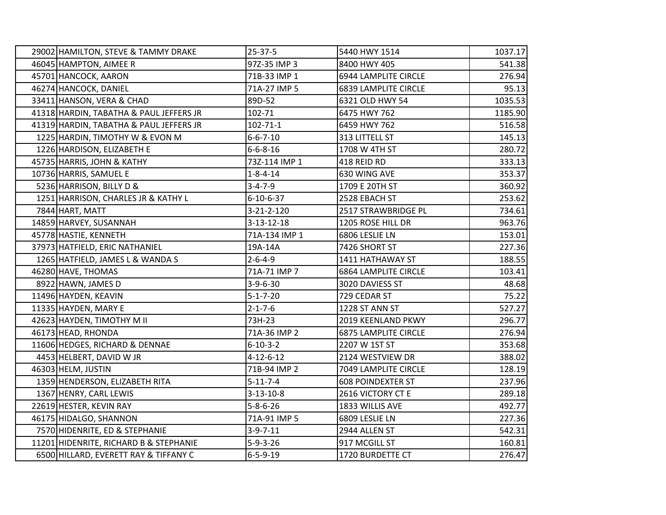| 29002 HAMILTON, STEVE & TAMMY DRAKE     | 25-37-5            | 5440 HWY 1514               | 1037.17 |
|-----------------------------------------|--------------------|-----------------------------|---------|
| 46045 HAMPTON, AIMEE R                  | 97Z-35 IMP 3       | 8400 HWY 405                | 541.38  |
| 45701 HANCOCK, AARON                    | 71B-33 IMP 1       | 6944 LAMPLITE CIRCLE        | 276.94  |
| 46274 HANCOCK, DANIEL                   | 71A-27 IMP 5       | 6839 LAMPLITE CIRCLE        | 95.13   |
| 33411 HANSON, VERA & CHAD               | 89D-52             | 6321 OLD HWY 54             | 1035.53 |
| 41318 HARDIN, TABATHA & PAUL JEFFERS JR | 102-71             | 6475 HWY 762                | 1185.90 |
| 41319 HARDIN, TABATHA & PAUL JEFFERS JR | $102 - 71 - 1$     | 6459 HWY 762                | 516.58  |
| 1225 HARDIN, TIMOTHY W & EVON M         | $6 - 6 - 7 - 10$   | 313 LITTELL ST              | 145.13  |
| 1226 HARDISON, ELIZABETH E              | $6 - 6 - 8 - 16$   | 1708 W 4TH ST               | 280.72  |
| 45735 HARRIS, JOHN & KATHY              | 73Z-114 IMP 1      | 418 REID RD                 | 333.13  |
| 10736 HARRIS, SAMUEL E                  | $1 - 8 - 4 - 14$   | 630 WING AVE                | 353.37  |
| 5236 HARRISON, BILLY D &                | $3 - 4 - 7 - 9$    | 1709 E 20TH ST              | 360.92  |
| 1251 HARRISON, CHARLES JR & KATHY L     | $6 - 10 - 6 - 37$  | 2528 EBACH ST               | 253.62  |
| 7844 HART, MATT                         | $3 - 21 - 2 - 120$ | 2517 STRAWBRIDGE PL         | 734.61  |
| 14859 HARVEY, SUSANNAH                  | $3 - 13 - 12 - 18$ | 1205 ROSE HILL DR           | 963.76  |
| 45778 HASTIE, KENNETH                   | 71A-134 IMP 1      | 6806 LESLIE LN              | 153.01  |
| 37973 HATFIELD, ERIC NATHANIEL          | 19A-14A            | 7426 SHORT ST               | 227.36  |
| 1265 HATFIELD, JAMES L & WANDA S        | $2 - 6 - 4 - 9$    | 1411 HATHAWAY ST            | 188.55  |
| 46280 HAVE, THOMAS                      | 71A-71 IMP 7       | <b>6864 LAMPLITE CIRCLE</b> | 103.41  |
| 8922 HAWN, JAMES D                      | $3 - 9 - 6 - 30$   | 3020 DAVIESS ST             | 48.68   |
| 11496 HAYDEN, KEAVIN                    | $5 - 1 - 7 - 20$   | 729 CEDAR ST                | 75.22   |
| 11335 HAYDEN, MARY E                    | $2 - 1 - 7 - 6$    | 1228 ST ANN ST              | 527.27  |
| 42623 HAYDEN, TIMOTHY M II              | 73H-23             | 2019 KEENLAND PKWY          | 296.77  |
| 46173 HEAD, RHONDA                      | 71A-36 IMP 2       | <b>6875 LAMPLITE CIRCLE</b> | 276.94  |
| 11606 HEDGES, RICHARD & DENNAE          | $6 - 10 - 3 - 2$   | 2207 W 1ST ST               | 353.68  |
| 4453 HELBERT, DAVID W JR                | $4 - 12 - 6 - 12$  | 2124 WESTVIEW DR            | 388.02  |
| 46303 HELM, JUSTIN                      | 71B-94 IMP 2       | 7049 LAMPLITE CIRCLE        | 128.19  |
| 1359 HENDERSON, ELIZABETH RITA          | $5 - 11 - 7 - 4$   | <b>608 POINDEXTER ST</b>    | 237.96  |
| 1367 HENRY, CARL LEWIS                  | $3 - 13 - 10 - 8$  | 2616 VICTORY CT E           | 289.18  |
| 22619 HESTER, KEVIN RAY                 | $5 - 8 - 6 - 26$   | 1833 WILLIS AVE             | 492.77  |
| 46175 HIDALGO, SHANNON                  | 71A-91 IMP 5       | 6809 LESLIE LN              | 227.36  |
| 7570 HIDENRITE, ED & STEPHANIE          | $3-9-7-11$         | 2944 ALLEN ST               | 542.31  |
| 11201 HIDENRITE, RICHARD B & STEPHANIE  | $5 - 9 - 3 - 26$   | 917 MCGILL ST               | 160.81  |
| 6500 HILLARD, EVERETT RAY & TIFFANY C   | $6 - 5 - 9 - 19$   | 1720 BURDETTE CT            | 276.47  |
|                                         |                    |                             |         |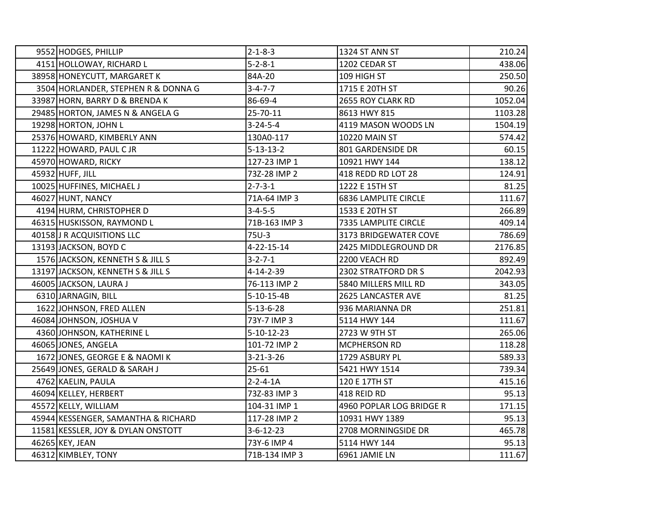| 9552 HODGES, PHILLIP                | $2 - 1 - 8 - 3$    | 1324 ST ANN ST              | 210.24  |
|-------------------------------------|--------------------|-----------------------------|---------|
| 4151 HOLLOWAY, RICHARD L            | $5 - 2 - 8 - 1$    | 1202 CEDAR ST               | 438.06  |
| 38958 HONEYCUTT, MARGARET K         | 84A-20             | 109 HIGH ST                 | 250.50  |
| 3504 HORLANDER, STEPHEN R & DONNA G | $3 - 4 - 7 - 7$    | 1715 E 20TH ST              | 90.26   |
| 33987 HORN, BARRY D & BRENDA K      | 86-69-4            | 2655 ROY CLARK RD           | 1052.04 |
| 29485 HORTON, JAMES N & ANGELA G    | 25-70-11           | 8613 HWY 815                | 1103.28 |
| 19298 HORTON, JOHN L                | $3 - 24 - 5 - 4$   | 4119 MASON WOODS LN         | 1504.19 |
| 25376 HOWARD, KIMBERLY ANN          | 130A0-117          | 10220 MAIN ST               | 574.42  |
| 11222 HOWARD, PAUL CJR              | $5 - 13 - 13 - 2$  | 801 GARDENSIDE DR           | 60.15   |
| 45970 HOWARD, RICKY                 | 127-23 IMP 1       | 10921 HWY 144               | 138.12  |
| 45932 HUFF, JILL                    | 73Z-28 IMP 2       | 418 REDD RD LOT 28          | 124.91  |
| 10025 HUFFINES, MICHAEL J           | $2 - 7 - 3 - 1$    | 1222 E 15TH ST              | 81.25   |
| 46027 HUNT, NANCY                   | 71A-64 IMP 3       | <b>6836 LAMPLITE CIRCLE</b> | 111.67  |
| 4194 HURM, CHRISTOPHER D            | $3 - 4 - 5 - 5$    | 1533 E 20TH ST              | 266.89  |
| 46315 HUSKISSON, RAYMOND L          | 71B-163 IMP 3      | 7335 LAMPLITE CIRCLE        | 409.14  |
| 40158 J R ACQUISITIONS LLC          | 75U-3              | 3173 BRIDGEWATER COVE       | 786.69  |
| 13193 JACKSON, BOYD C               | 4-22-15-14         | 2425 MIDDLEGROUND DR        | 2176.85 |
| 1576 JACKSON, KENNETH S & JILL S    | $3 - 2 - 7 - 1$    | 2200 VEACH RD               | 892.49  |
| 13197 JACKSON, KENNETH S & JILL S   | $4 - 14 - 2 - 39$  | 2302 STRATFORD DR S         | 2042.93 |
| 46005 JACKSON, LAURA J              | 76-113 IMP 2       | 5840 MILLERS MILL RD        | 343.05  |
| 6310 JARNAGIN, BILL                 | $5-10-15-4B$       | 2625 LANCASTER AVE          | 81.25   |
| 1622 JOHNSON, FRED ALLEN            | $5 - 13 - 6 - 28$  | 936 MARIANNA DR             | 251.81  |
| 46084 JOHNSON, JOSHUA V             | 73Y-7 IMP 3        | 5114 HWY 144                | 111.67  |
| 4360 JOHNSON, KATHERINE L           | $5 - 10 - 12 - 23$ | 2723 W 9TH ST               | 265.06  |
| 46065 JONES, ANGELA                 | 101-72 IMP 2       | MCPHERSON RD                | 118.28  |
| 1672 JONES, GEORGE E & NAOMI K      | $3 - 21 - 3 - 26$  | 1729 ASBURY PL              | 589.33  |
| 25649 JONES, GERALD & SARAH J       | $25 - 61$          | 5421 HWY 1514               | 739.34  |
| 4762 KAELIN, PAULA                  | $2 - 2 - 4 - 1A$   | 120 E 17TH ST               | 415.16  |
| 46094 KELLEY, HERBERT               | 73Z-83 IMP 3       | 418 REID RD                 | 95.13   |
| 45572 KELLY, WILLIAM                | 104-31 IMP 1       | 4960 POPLAR LOG BRIDGE R    | 171.15  |
| 45944 KESSENGER, SAMANTHA & RICHARD | 117-28 IMP 2       | 10931 HWY 1389              | 95.13   |
| 11581 KESSLER, JOY & DYLAN ONSTOTT  | $3 - 6 - 12 - 23$  | 2708 MORNINGSIDE DR         | 465.78  |
| 46265 KEY, JEAN                     | 73Y-6 IMP 4        | 5114 HWY 144                | 95.13   |
| 46312 KIMBLEY, TONY                 | 71B-134 IMP 3      | 6961 JAMIE LN               | 111.67  |
|                                     |                    |                             |         |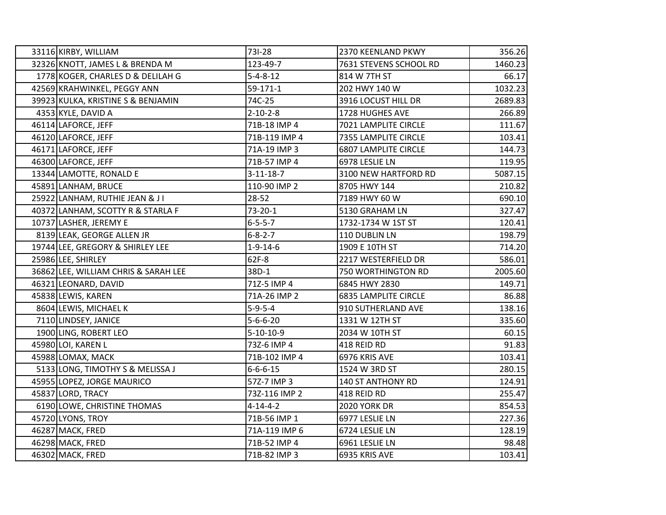| 33116 KIRBY, WILLIAM                 | 731-28            | 2370 KEENLAND PKWY          | 356.26  |
|--------------------------------------|-------------------|-----------------------------|---------|
| 32326 KNOTT, JAMES L & BRENDA M      | 123-49-7          | 7631 STEVENS SCHOOL RD      | 1460.23 |
| 1778 KOGER, CHARLES D & DELILAH G    | $5 - 4 - 8 - 12$  | 814 W 7TH ST                | 66.17   |
| 42569 KRAHWINKEL, PEGGY ANN          | 59-171-1          | 202 HWY 140 W               | 1032.23 |
| 39923 KULKA, KRISTINE S & BENJAMIN   | 74C-25            | 3916 LOCUST HILL DR         | 2689.83 |
| 4353 KYLE, DAVID A                   | $2 - 10 - 2 - 8$  | 1728 HUGHES AVE             | 266.89  |
| 46114 LAFORCE, JEFF                  | 71B-18 IMP 4      | 7021 LAMPLITE CIRCLE        | 111.67  |
| 46120 LAFORCE, JEFF                  | 71B-119 IMP 4     | 7355 LAMPLITE CIRCLE        | 103.41  |
| 46171 LAFORCE, JEFF                  | 71A-19 IMP 3      | <b>6807 LAMPLITE CIRCLE</b> | 144.73  |
| 46300 LAFORCE, JEFF                  | 71B-57 IMP 4      | 6978 LESLIE LN              | 119.95  |
| 13344 LAMOTTE, RONALD E              | $3 - 11 - 18 - 7$ | 3100 NEW HARTFORD RD        | 5087.15 |
| 45891 LANHAM, BRUCE                  | 110-90 IMP 2      | 8705 HWY 144                | 210.82  |
| 25922 LANHAM, RUTHIE JEAN & JI       | 28-52             | 7189 HWY 60 W               | 690.10  |
| 40372 LANHAM, SCOTTY R & STARLA F    | $73-20-1$         | 5130 GRAHAM LN              | 327.47  |
| 10737 LASHER, JEREMY E               | $6 - 5 - 5 - 7$   | 1732-1734 W 1ST ST          | 120.41  |
| 8139 LEAK, GEORGE ALLEN JR           | $6 - 8 - 2 - 7$   | 110 DUBLIN LN               | 198.79  |
| 19744 LEE, GREGORY & SHIRLEY LEE     | $1 - 9 - 14 - 6$  | 1909 E 10TH ST              | 714.20  |
| 25986 LEE, SHIRLEY                   | 62F-8             | 2217 WESTERFIELD DR         | 586.01  |
| 36862 LEE, WILLIAM CHRIS & SARAH LEE | 38D-1             | 750 WORTHINGTON RD          | 2005.60 |
| 46321 LEONARD, DAVID                 | 71Z-5 IMP 4       | 6845 HWY 2830               | 149.71  |
| 45838 LEWIS, KAREN                   | 71A-26 IMP 2      | <b>6835 LAMPLITE CIRCLE</b> | 86.88   |
| 8604 LEWIS, MICHAEL K                | $5 - 9 - 5 - 4$   | 910 SUTHERLAND AVE          | 138.16  |
| 7110 LINDSEY, JANICE                 | $5 - 6 - 6 - 20$  | 1331 W 12TH ST              | 335.60  |
| 1900 LING, ROBERT LEO                | $5 - 10 - 10 - 9$ | 2034 W 10TH ST              | 60.15   |
| 45980 LOI, KAREN L                   | 73Z-6 IMP 4       | 418 REID RD                 | 91.83   |
| 45988 LOMAX, MACK                    | 71B-102 IMP 4     | 6976 KRIS AVE               | 103.41  |
| 5133 LONG, TIMOTHY S & MELISSA J     | $6 - 6 - 6 - 15$  | 1524 W 3RD ST               | 280.15  |
| 45955 LOPEZ, JORGE MAURICO           | 57Z-7 IMP 3       | <b>140 ST ANTHONY RD</b>    | 124.91  |
| 45837 LORD, TRACY                    | 73Z-116 IMP 2     | 418 REID RD                 | 255.47  |
| 6190 LOWE, CHRISTINE THOMAS          | $4 - 14 - 4 - 2$  | 2020 YORK DR                | 854.53  |
| 45720 LYONS, TROY                    | 71B-56 IMP 1      | 6977 LESLIE LN              | 227.36  |
| 46287 MACK, FRED                     | 71A-119 IMP 6     | 6724 LESLIE LN              | 128.19  |
| 46298 MACK, FRED                     | 71B-52 IMP 4      | 6961 LESLIE LN              | 98.48   |
| 46302 MACK, FRED                     | 71B-82 IMP 3      | 6935 KRIS AVE               | 103.41  |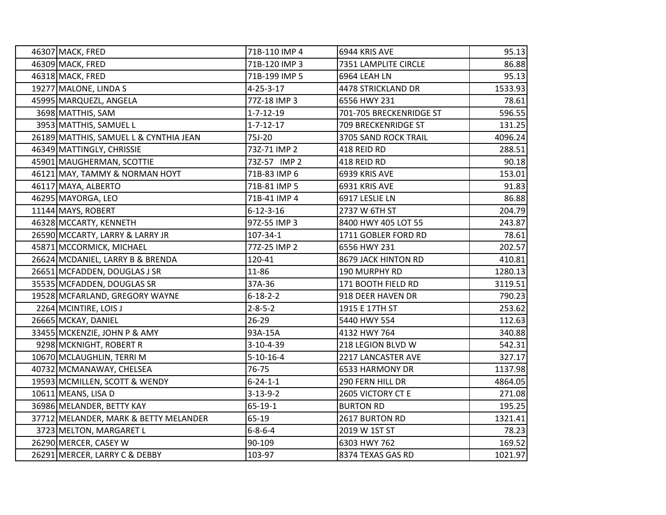| 46307 MACK, FRED                       | 71B-110 IMP 4     | 6944 KRIS AVE           | 95.13   |
|----------------------------------------|-------------------|-------------------------|---------|
| 46309 MACK, FRED                       | 71B-120 IMP 3     | 7351 LAMPLITE CIRCLE    | 86.88   |
| 46318 MACK, FRED                       | 71B-199 IMP 5     | 6964 LEAH LN            | 95.13   |
| 19277 MALONE, LINDA S                  | $4 - 25 - 3 - 17$ | 4478 STRICKLAND DR      | 1533.93 |
| 45995 MARQUEZL, ANGELA                 | 77Z-18 IMP 3      | 6556 HWY 231            | 78.61   |
| 3698 MATTHIS, SAM                      | $1 - 7 - 12 - 19$ | 701-705 BRECKENRIDGE ST | 596.55  |
| 3953 MATTHIS, SAMUEL L                 | $1 - 7 - 12 - 17$ | 709 BRECKENRIDGE ST     | 131.25  |
| 26189 MATTHIS, SAMUEL L & CYNTHIA JEAN | 75J-20            | 3705 SAND ROCK TRAIL    | 4096.24 |
| 46349 MATTINGLY, CHRISSIE              | 73Z-71 IMP 2      | 418 REID RD             | 288.51  |
| 45901 MAUGHERMAN, SCOTTIE              | 73Z-57 IMP 2      | 418 REID RD             | 90.18   |
| 46121 MAY, TAMMY & NORMAN HOYT         | 71B-83 IMP 6      | 6939 KRIS AVE           | 153.01  |
| 46117 MAYA, ALBERTO                    | 71B-81 IMP 5      | 6931 KRIS AVE           | 91.83   |
| 46295 MAYORGA, LEO                     | 71B-41 IMP 4      | 6917 LESLIE LN          | 86.88   |
| 11144 MAYS, ROBERT                     | $6 - 12 - 3 - 16$ | 2737 W 6TH ST           | 204.79  |
| 46328 MCCARTY, KENNETH                 | 97Z-55 IMP 3      | 8400 HWY 405 LOT 55     | 243.87  |
| 26590 MCCARTY, LARRY & LARRY JR        | 107-34-1          | 1711 GOBLER FORD RD     | 78.61   |
| 45871 MCCORMICK, MICHAEL               | 77Z-25 IMP 2      | 6556 HWY 231            | 202.57  |
| 26624 MCDANIEL, LARRY B & BRENDA       | 120-41            | 8679 JACK HINTON RD     | 410.81  |
| 26651 MCFADDEN, DOUGLAS J SR           | 11-86             | 190 MURPHY RD           | 1280.13 |
| 35535 MCFADDEN, DOUGLAS SR             | 37A-36            | 171 BOOTH FIELD RD      | 3119.51 |
| 19528 MCFARLAND, GREGORY WAYNE         | $6 - 18 - 2 - 2$  | 918 DEER HAVEN DR       | 790.23  |
| 2264 MCINTIRE, LOIS J                  | $2 - 8 - 5 - 2$   | 1915 E 17TH ST          | 253.62  |
| 26665 MCKAY, DANIEL                    | $26-29$           | 5440 HWY 554            | 112.63  |
| 33455 MCKENZIE, JOHN P & AMY           | 93A-15A           | 4132 HWY 764            | 340.88  |
| 9298 MCKNIGHT, ROBERT R                | 3-10-4-39         | 218 LEGION BLVD W       | 542.31  |
| 10670 MCLAUGHLIN, TERRI M              | $5 - 10 - 16 - 4$ | 2217 LANCASTER AVE      | 327.17  |
| 40732 MCMANAWAY, CHELSEA               | 76-75             | 6533 HARMONY DR         | 1137.98 |
| 19593 MCMILLEN, SCOTT & WENDY          | $6 - 24 - 1 - 1$  | 290 FERN HILL DR        | 4864.05 |
| 10611 MEANS, LISA D                    | $3 - 13 - 9 - 2$  | 2605 VICTORY CT E       | 271.08  |
| 36986 MELANDER, BETTY KAY              | $65-19-1$         | <b>BURTON RD</b>        | 195.25  |
| 37712 MELANDER, MARK & BETTY MELANDER  | 65-19             | 2617 BURTON RD          | 1321.41 |
| 3723 MELTON, MARGARET L                | $6 - 8 - 6 - 4$   | 2019 W 1ST ST           | 78.23   |
| 26290 MERCER, CASEY W                  | 90-109            | 6303 HWY 762            | 169.52  |
| 26291 MERCER, LARRY C & DEBBY          | 103-97            | 8374 TEXAS GAS RD       | 1021.97 |
|                                        |                   |                         |         |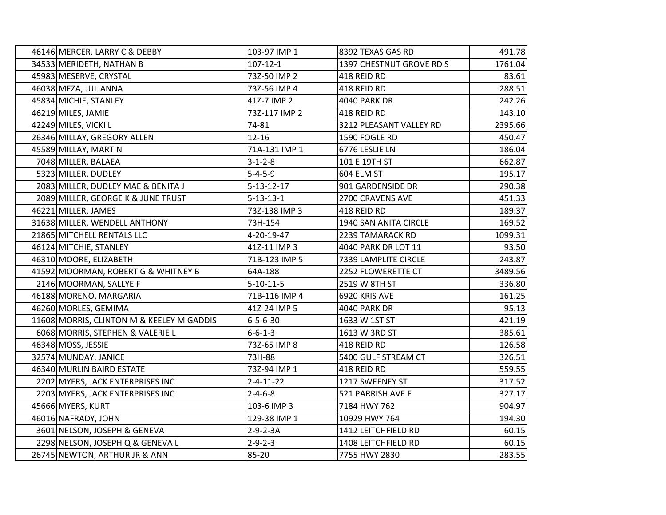| 46146 MERCER, LARRY C & DEBBY             | 103-97 IMP 1       | 8392 TEXAS GAS RD        | 491.78  |
|-------------------------------------------|--------------------|--------------------------|---------|
| 34533 MERIDETH, NATHAN B                  | $107 - 12 - 1$     | 1397 CHESTNUT GROVE RD S | 1761.04 |
| 45983 MESERVE, CRYSTAL                    | 73Z-50 IMP 2       | 418 REID RD              | 83.61   |
| 46038 MEZA, JULIANNA                      | 73Z-56 IMP 4       | 418 REID RD              | 288.51  |
| 45834 MICHIE, STANLEY                     | 41Z-7 IMP 2        | 4040 PARK DR             | 242.26  |
| 46219 MILES, JAMIE                        | 73Z-117 IMP 2      | 418 REID RD              | 143.10  |
| 42249 MILES, VICKI L                      | 74-81              | 3212 PLEASANT VALLEY RD  | 2395.66 |
| 26346 MILLAY, GREGORY ALLEN               | 12-16              | 1590 FOGLE RD            | 450.47  |
| 45589 MILLAY, MARTIN                      | 71A-131 IMP 1      | 6776 LESLIE LN           | 186.04  |
| 7048 MILLER, BALAEA                       | $3 - 1 - 2 - 8$    | 101 E 19TH ST            | 662.87  |
| 5323 MILLER, DUDLEY                       | $5 - 4 - 5 - 9$    | 604 ELM ST               | 195.17  |
| 2083 MILLER, DUDLEY MAE & BENITA J        | $5 - 13 - 12 - 17$ | 901 GARDENSIDE DR        | 290.38  |
| 2089 MILLER, GEORGE K & JUNE TRUST        | $5 - 13 - 13 - 1$  | 2700 CRAVENS AVE         | 451.33  |
| 46221 MILLER, JAMES                       | 73Z-138 IMP 3      | 418 REID RD              | 189.37  |
| 31638 MILLER, WENDELL ANTHONY             | 73H-154            | 1940 SAN ANITA CIRCLE    | 169.52  |
| 21865 MITCHELL RENTALS LLC                | 4-20-19-47         | 2239 TAMARACK RD         | 1099.31 |
| 46124 MITCHIE, STANLEY                    | 41Z-11 IMP 3       | 4040 PARK DR LOT 11      | 93.50   |
| 46310 MOORE, ELIZABETH                    | 71B-123 IMP 5      | 7339 LAMPLITE CIRCLE     | 243.87  |
| 41592 MOORMAN, ROBERT G & WHITNEY B       | 64A-188            | 2252 FLOWERETTE CT       | 3489.56 |
| 2146 MOORMAN, SALLYE F                    | $5 - 10 - 11 - 5$  | 2519 W 8TH ST            | 336.80  |
| 46188 MORENO, MARGARIA                    | 71B-116 IMP 4      | 6920 KRIS AVE            | 161.25  |
| 46260 MORLES, GEMIMA                      | 41Z-24 IMP 5       | 4040 PARK DR             | 95.13   |
| 11608 MORRIS, CLINTON M & KEELEY M GADDIS | $6 - 5 - 6 - 30$   | 1633 W 1ST ST            | 421.19  |
| 6068 MORRIS, STEPHEN & VALERIE L          | $6 - 6 - 1 - 3$    | 1613 W 3RD ST            | 385.61  |
| 46348 MOSS, JESSIE                        | 73Z-65 IMP 8       | 418 REID RD              | 126.58  |
| 32574 MUNDAY, JANICE                      | 73H-88             | 5400 GULF STREAM CT      | 326.51  |
| 46340 MURLIN BAIRD ESTATE                 | 73Z-94 IMP 1       | 418 REID RD              | 559.55  |
| 2202 MYERS, JACK ENTERPRISES INC          | $2 - 4 - 11 - 22$  | 1217 SWEENEY ST          | 317.52  |
| 2203 MYERS, JACK ENTERPRISES INC          | $2 - 4 - 6 - 8$    | 521 PARRISH AVE E        | 327.17  |
| 45666 MYERS, KURT                         | 103-6 IMP 3        | 7184 HWY 762             | 904.97  |
| 46016 NAFRADY, JOHN                       | 129-38 IMP 1       | 10929 HWY 764            | 194.30  |
| 3601 NELSON, JOSEPH & GENEVA              | $2 - 9 - 2 - 3A$   | 1412 LEITCHFIELD RD      | 60.15   |
| 2298 NELSON, JOSEPH Q & GENEVA L          | $2 - 9 - 2 - 3$    | 1408 LEITCHFIELD RD      | 60.15   |
| 26745 NEWTON, ARTHUR JR & ANN             | 85-20              | 7755 HWY 2830            | 283.55  |
|                                           |                    |                          |         |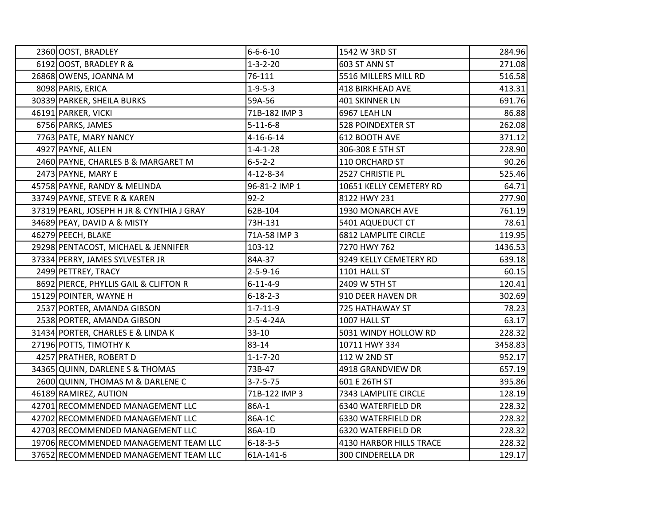|  | 2360 OOST, BRADLEY                        | $6 - 6 - 6 - 10$  | 1542 W 3RD ST               | 284.96  |
|--|-------------------------------------------|-------------------|-----------------------------|---------|
|  | 6192 OOST, BRADLEY R &                    | $1 - 3 - 2 - 20$  | 603 ST ANN ST               | 271.08  |
|  | 26868 OWENS, JOANNA M                     | 76-111            | 5516 MILLERS MILL RD        | 516.58  |
|  | 8098 PARIS, ERICA                         | $1 - 9 - 5 - 3$   | <b>418 BIRKHEAD AVE</b>     | 413.31  |
|  | 30339 PARKER, SHEILA BURKS                | 59A-56            | 401 SKINNER LN              | 691.76  |
|  | 46191 PARKER, VICKI                       | 71B-182 IMP 3     | 6967 LEAH LN                | 86.88   |
|  | 6756 PARKS, JAMES                         | $5 - 11 - 6 - 8$  | <b>528 POINDEXTER ST</b>    | 262.08  |
|  | 7763 PATE, MARY NANCY                     | $4 - 16 - 6 - 14$ | 612 BOOTH AVE               | 371.12  |
|  | 4927 PAYNE, ALLEN                         | $1 - 4 - 1 - 28$  | 306-308 E 5TH ST            | 228.90  |
|  | 2460 PAYNE, CHARLES B & MARGARET M        | $6 - 5 - 2 - 2$   | 110 ORCHARD ST              | 90.26   |
|  | 2473 PAYNE, MARY E                        | 4-12-8-34         | 2527 CHRISTIE PL            | 525.46  |
|  | 45758 PAYNE, RANDY & MELINDA              | 96-81-2 IMP 1     | 10651 KELLY CEMETERY RD     | 64.71   |
|  | 33749 PAYNE, STEVE R & KAREN              | $92 - 2$          | 8122 HWY 231                | 277.90  |
|  | 37319 PEARL, JOSEPH H JR & CYNTHIA J GRAY | 62B-104           | 1930 MONARCH AVE            | 761.19  |
|  | 34689 PEAY, DAVID A & MISTY               | 73H-131           | 5401 AQUEDUCT CT            | 78.61   |
|  | 46279 PEECH, BLAKE                        | 71A-58 IMP 3      | <b>6812 LAMPLITE CIRCLE</b> | 119.95  |
|  | 29298 PENTACOST, MICHAEL & JENNIFER       | 103-12            | 7270 HWY 762                | 1436.53 |
|  | 37334 PERRY, JAMES SYLVESTER JR           | 84A-37            | 9249 KELLY CEMETERY RD      | 639.18  |
|  | 2499 PETTREY, TRACY                       | $2 - 5 - 9 - 16$  | 1101 HALL ST                | 60.15   |
|  | 8692 PIERCE, PHYLLIS GAIL & CLIFTON R     | $6 - 11 - 4 - 9$  | 2409 W 5TH ST               | 120.41  |
|  | 15129 POINTER, WAYNE H                    | $6 - 18 - 2 - 3$  | 910 DEER HAVEN DR           | 302.69  |
|  | 2537 PORTER, AMANDA GIBSON                | $1 - 7 - 11 - 9$  | 725 HATHAWAY ST             | 78.23   |
|  | 2538 PORTER, AMANDA GIBSON                | $2 - 5 - 4 - 24A$ | 1007 HALL ST                | 63.17   |
|  | 31434 PORTER, CHARLES E & LINDA K         | $33 - 10$         | 5031 WINDY HOLLOW RD        | 228.32  |
|  | 27196 POTTS, TIMOTHY K                    | 83-14             | 10711 HWY 334               | 3458.83 |
|  | 4257 PRATHER, ROBERT D                    | $1 - 1 - 7 - 20$  | 112 W 2ND ST                | 952.17  |
|  | 34365 QUINN, DARLENE S & THOMAS           | 73B-47            | 4918 GRANDVIEW DR           | 657.19  |
|  | 2600 QUINN, THOMAS M & DARLENE C          | $3 - 7 - 5 - 75$  | 601 E 26TH ST               | 395.86  |
|  | 46189 RAMIREZ, AUTION                     | 71B-122 IMP 3     | 7343 LAMPLITE CIRCLE        | 128.19  |
|  | 42701 RECOMMENDED MANAGEMENT LLC          | 86A-1             | 6340 WATERFIELD DR          | 228.32  |
|  | 42702 RECOMMENDED MANAGEMENT LLC          | 86A-1C            | 6330 WATERFIELD DR          | 228.32  |
|  | 42703 RECOMMENDED MANAGEMENT LLC          | 86A-1D            | 6320 WATERFIELD DR          | 228.32  |
|  | 19706 RECOMMENDED MANAGEMENT TEAM LLC     | $6 - 18 - 3 - 5$  | 4130 HARBOR HILLS TRACE     | 228.32  |
|  | 37652 RECOMMENDED MANAGEMENT TEAM LLC     | 61A-141-6         | <b>300 CINDERELLA DR</b>    | 129.17  |
|  |                                           |                   |                             |         |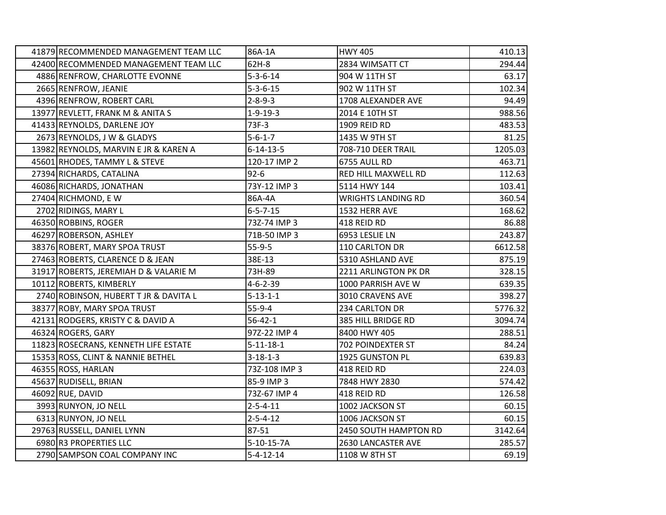| 41879 RECOMMENDED MANAGEMENT TEAM LLC | 86A-1A            | <b>HWY 405</b>            | 410.13  |
|---------------------------------------|-------------------|---------------------------|---------|
| 42400 RECOMMENDED MANAGEMENT TEAM LLC | 62H-8             | 2834 WIMSATT CT           | 294.44  |
| 4886 RENFROW, CHARLOTTE EVONNE        | $5 - 3 - 6 - 14$  | 904 W 11TH ST             | 63.17   |
| 2665 RENFROW, JEANIE                  | $5 - 3 - 6 - 15$  | 902 W 11TH ST             | 102.34  |
| 4396 RENFROW, ROBERT CARL             | $2 - 8 - 9 - 3$   | 1708 ALEXANDER AVE        | 94.49   |
| 13977 REVLETT, FRANK M & ANITA S      | $1 - 9 - 19 - 3$  | 2014 E 10TH ST            | 988.56  |
| 41433 REYNOLDS, DARLENE JOY           | 73F-3             | 1909 REID RD              | 483.53  |
| 2673 REYNOLDS, J W & GLADYS           | $5 - 6 - 1 - 7$   | 1435 W 9TH ST             | 81.25   |
| 13982 REYNOLDS, MARVIN E JR & KAREN A | $6 - 14 - 13 - 5$ | 708-710 DEER TRAIL        | 1205.03 |
| 45601 RHODES, TAMMY L & STEVE         | 120-17 IMP 2      | 6755 AULL RD              | 463.71  |
| 27394 RICHARDS, CATALINA              | $92 - 6$          | RED HILL MAXWELL RD       | 112.63  |
| 46086 RICHARDS, JONATHAN              | 73Y-12 IMP 3      | 5114 HWY 144              | 103.41  |
| 27404 RICHMOND, EW                    | 86A-4A            | <b>WRIGHTS LANDING RD</b> | 360.54  |
| 2702 RIDINGS, MARY L                  | $6 - 5 - 7 - 15$  | 1532 HERR AVE             | 168.62  |
| 46350 ROBBINS, ROGER                  | 73Z-74 IMP 3      | 418 REID RD               | 86.88   |
| 46297 ROBERSON, ASHLEY                | 71B-50 IMP 3      | 6953 LESLIE LN            | 243.87  |
| 38376 ROBERT, MARY SPOA TRUST         | $55-9-5$          | 110 CARLTON DR            | 6612.58 |
| 27463 ROBERTS, CLARENCE D & JEAN      | 38E-13            | 5310 ASHLAND AVE          | 875.19  |
| 31917 ROBERTS, JEREMIAH D & VALARIE M | 73H-89            | 2211 ARLINGTON PK DR      | 328.15  |
| 10112 ROBERTS, KIMBERLY               | $4 - 6 - 2 - 39$  | 1000 PARRISH AVE W        | 639.35  |
| 2740 ROBINSON, HUBERT T JR & DAVITA L | $5 - 13 - 1 - 1$  | 3010 CRAVENS AVE          | 398.27  |
| 38377 ROBY, MARY SPOA TRUST           | $55-9-4$          | 234 CARLTON DR            | 5776.32 |
| 42131 RODGERS, KRISTY C & DAVID A     | $56 - 42 - 1$     | 385 HILL BRIDGE RD        | 3094.74 |
| 46324 ROGERS, GARY                    | 97Z-22 IMP 4      | 8400 HWY 405              | 288.51  |
| 11823 ROSECRANS, KENNETH LIFE ESTATE  | $5 - 11 - 18 - 1$ | 702 POINDEXTER ST         | 84.24   |
| 15353 ROSS, CLINT & NANNIE BETHEL     | $3 - 18 - 1 - 3$  | 1925 GUNSTON PL           | 639.83  |
| 46355 ROSS, HARLAN                    | 73Z-108 IMP 3     | 418 REID RD               | 224.03  |
| 45637 RUDISELL, BRIAN                 | 85-9 IMP 3        | 7848 HWY 2830             | 574.42  |
| 46092 RUE, DAVID                      | 73Z-67 IMP 4      | 418 REID RD               | 126.58  |
| 3993 RUNYON, JO NELL                  | $2 - 5 - 4 - 11$  | 1002 JACKSON ST           | 60.15   |
| 6313 RUNYON, JO NELL                  | $2 - 5 - 4 - 12$  | 1006 JACKSON ST           | 60.15   |
| 29763 RUSSELL, DANIEL LYNN            | 87-51             | 2450 SOUTH HAMPTON RD     | 3142.64 |
| 6980 R3 PROPERTIES LLC                | $5-10-15-7A$      | 2630 LANCASTER AVE        | 285.57  |
| 2790 SAMPSON COAL COMPANY INC         | $5 - 4 - 12 - 14$ | 1108 W 8TH ST             | 69.19   |
|                                       |                   |                           |         |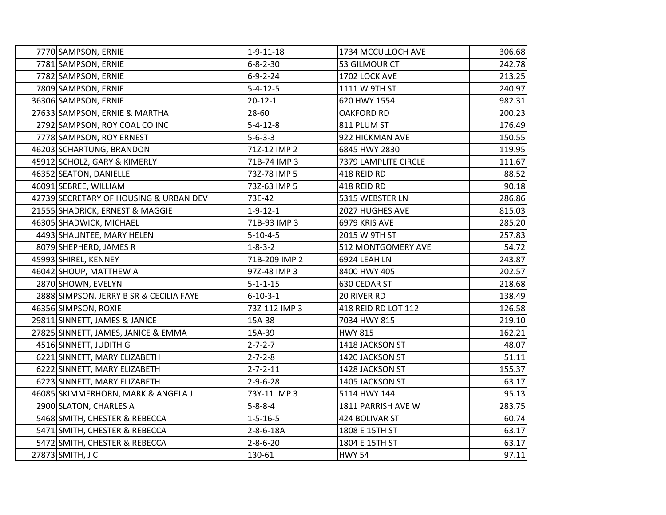| 7770 SAMPSON, ERNIE                     | $1 - 9 - 11 - 18$ | 1734 MCCULLOCH AVE   | 306.68 |
|-----------------------------------------|-------------------|----------------------|--------|
| 7781 SAMPSON, ERNIE                     | $6 - 8 - 2 - 30$  | 53 GILMOUR CT        | 242.78 |
| 7782 SAMPSON, ERNIE                     | $6 - 9 - 2 - 24$  | 1702 LOCK AVE        | 213.25 |
| 7809 SAMPSON, ERNIE                     | $5 - 4 - 12 - 5$  | 1111 W 9TH ST        | 240.97 |
| 36306 SAMPSON, ERNIE                    | $20 - 12 - 1$     | 620 HWY 1554         | 982.31 |
| 27633 SAMPSON, ERNIE & MARTHA           | 28-60             | <b>OAKFORD RD</b>    | 200.23 |
| 2792 SAMPSON, ROY COAL CO INC           | $5 - 4 - 12 - 8$  | 811 PLUM ST          | 176.49 |
| 7778 SAMPSON, ROY ERNEST                | $5 - 6 - 3 - 3$   | 922 HICKMAN AVE      | 150.55 |
| 46203 SCHARTUNG, BRANDON                | 71Z-12 IMP 2      | 6845 HWY 2830        | 119.95 |
| 45912 SCHOLZ, GARY & KIMERLY            | 71B-74 IMP 3      | 7379 LAMPLITE CIRCLE | 111.67 |
| 46352 SEATON, DANIELLE                  | 73Z-78 IMP 5      | 418 REID RD          | 88.52  |
| 46091 SEBREE, WILLIAM                   | 73Z-63 IMP 5      | 418 REID RD          | 90.18  |
| 42739 SECRETARY OF HOUSING & URBAN DEV  | 73E-42            | 5315 WEBSTER LN      | 286.86 |
| 21555 SHADRICK, ERNEST & MAGGIE         | $1 - 9 - 12 - 1$  | 2027 HUGHES AVE      | 815.03 |
| 46305 SHADWICK, MICHAEL                 | 71B-93 IMP 3      | 6979 KRIS AVE        | 285.20 |
| 4493 SHAUNTEE, MARY HELEN               | $5 - 10 - 4 - 5$  | 2015 W 9TH ST        | 257.83 |
| 8079 SHEPHERD, JAMES R                  | $1 - 8 - 3 - 2$   | 512 MONTGOMERY AVE   | 54.72  |
| 45993 SHIREL, KENNEY                    | 71B-209 IMP 2     | 6924 LEAH LN         | 243.87 |
| 46042 SHOUP, MATTHEW A                  | 97Z-48 IMP 3      | 8400 HWY 405         | 202.57 |
| 2870 SHOWN, EVELYN                      | $5 - 1 - 1 - 15$  | 630 CEDAR ST         | 218.68 |
| 2888 SIMPSON, JERRY B SR & CECILIA FAYE | $6 - 10 - 3 - 1$  | 20 RIVER RD          | 138.49 |
| 46356 SIMPSON, ROXIE                    | 73Z-112 IMP 3     | 418 REID RD LOT 112  | 126.58 |
| 29811 SINNETT, JAMES & JANICE           | 15A-38            | 7034 HWY 815         | 219.10 |
| 27825 SINNETT, JAMES, JANICE & EMMA     | 15A-39            | <b>HWY 815</b>       | 162.21 |
| 4516 SINNETT, JUDITH G                  | $2 - 7 - 2 - 7$   | 1418 JACKSON ST      | 48.07  |
| 6221 SINNETT, MARY ELIZABETH            | $2 - 7 - 2 - 8$   | 1420 JACKSON ST      | 51.11  |
| 6222 SINNETT, MARY ELIZABETH            | $2 - 7 - 2 - 11$  | 1428 JACKSON ST      | 155.37 |
| 6223 SINNETT, MARY ELIZABETH            | $2 - 9 - 6 - 28$  | 1405 JACKSON ST      | 63.17  |
| 46085 SKIMMERHORN, MARK & ANGELA J      | 73Y-11 IMP 3      | 5114 HWY 144         | 95.13  |
| 2900 SLATON, CHARLES A                  | $5 - 8 - 8 - 4$   | 1811 PARRISH AVE W   | 283.75 |
| 5468 SMITH, CHESTER & REBECCA           | $1 - 5 - 16 - 5$  | 424 BOLIVAR ST       | 60.74  |
| 5471 SMITH, CHESTER & REBECCA           | 2-8-6-18A         | 1808 E 15TH ST       | 63.17  |
| 5472 SMITH, CHESTER & REBECCA           | $2 - 8 - 6 - 20$  | 1804 E 15TH ST       | 63.17  |
| 27873 SMITH, J C                        | 130-61            | <b>HWY 54</b>        | 97.11  |
|                                         |                   |                      |        |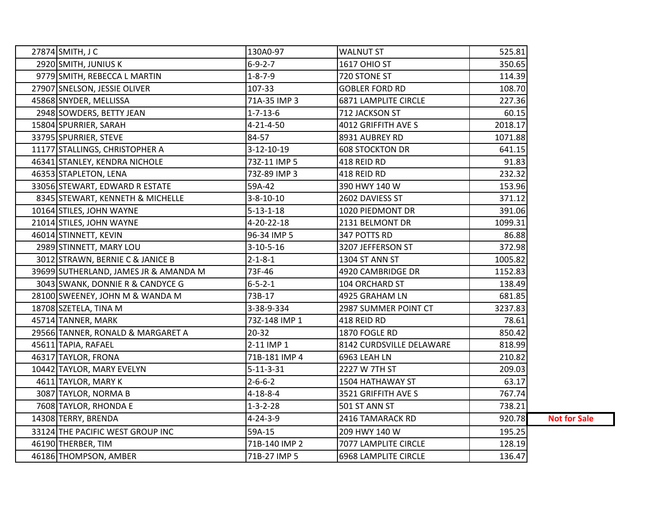| 27874 SMITH, J C                      | 130A0-97          | <b>WALNUT ST</b>            | 525.81  |                     |
|---------------------------------------|-------------------|-----------------------------|---------|---------------------|
| 2920 SMITH, JUNIUS K                  | $6 - 9 - 2 - 7$   | <b>1617 OHIO ST</b>         | 350.65  |                     |
| 9779 SMITH, REBECCA L MARTIN          | $1 - 8 - 7 - 9$   | 720 STONE ST                | 114.39  |                     |
| 27907 SNELSON, JESSIE OLIVER          | 107-33            | <b>GOBLER FORD RD</b>       | 108.70  |                     |
| 45868 SNYDER, MELLISSA                | 71A-35 IMP 3      | <b>6871 LAMPLITE CIRCLE</b> | 227.36  |                     |
| 2948 SOWDERS, BETTY JEAN              | $1 - 7 - 13 - 6$  | 712 JACKSON ST              | 60.15   |                     |
| 15804 SPURRIER, SARAH                 | 4-21-4-50         | 4012 GRIFFITH AVE S         | 2018.17 |                     |
| 33795 SPURRIER, STEVE                 | 84-57             | 8931 AUBREY RD              | 1071.88 |                     |
| 11177 STALLINGS, CHRISTOPHER A        | 3-12-10-19        | <b>608 STOCKTON DR</b>      | 641.15  |                     |
| 46341 STANLEY, KENDRA NICHOLE         | 73Z-11 IMP 5      | 418 REID RD                 | 91.83   |                     |
| 46353 STAPLETON, LENA                 | 73Z-89 IMP 3      | 418 REID RD                 | 232.32  |                     |
| 33056 STEWART, EDWARD R ESTATE        | 59A-42            | 390 HWY 140 W               | 153.96  |                     |
| 8345 STEWART, KENNETH & MICHELLE      | $3 - 8 - 10 - 10$ | 2602 DAVIESS ST             | 371.12  |                     |
| 10164 STILES, JOHN WAYNE              | $5 - 13 - 1 - 18$ | 1020 PIEDMONT DR            | 391.06  |                     |
| 21014 STILES, JOHN WAYNE              | 4-20-22-18        | 2131 BELMONT DR             | 1099.31 |                     |
| 46014 STINNETT, KEVIN                 | 96-34 IMP 5       | 347 POTTS RD                | 86.88   |                     |
| 2989 STINNETT, MARY LOU               | $3-10-5-16$       | 3207 JEFFERSON ST           | 372.98  |                     |
| 3012 STRAWN, BERNIE C & JANICE B      | $2 - 1 - 8 - 1$   | 1304 ST ANN ST              | 1005.82 |                     |
| 39699 SUTHERLAND, JAMES JR & AMANDA M | 73F-46            | 4920 CAMBRIDGE DR           | 1152.83 |                     |
| 3043 SWANK, DONNIE R & CANDYCE G      | $6 - 5 - 2 - 1$   | 104 ORCHARD ST              | 138.49  |                     |
| 28100 SWEENEY, JOHN M & WANDA M       | 73B-17            | 4925 GRAHAM LN              | 681.85  |                     |
| 18708 SZETELA, TINA M                 | 3-38-9-334        | 2987 SUMMER POINT CT        | 3237.83 |                     |
| 45714 TANNER, MARK                    | 73Z-148 IMP 1     | 418 REID RD                 | 78.61   |                     |
| 29566 TANNER, RONALD & MARGARET A     | $20 - 32$         | 1870 FOGLE RD               | 850.42  |                     |
| 45611 TAPIA, RAFAEL                   | 2-11 IMP 1        | 8142 CURDSVILLE DELAWARE    | 818.99  |                     |
| 46317 TAYLOR, FRONA                   | 71B-181 IMP 4     | 6963 LEAH LN                | 210.82  |                     |
| 10442 TAYLOR, MARY EVELYN             | $5 - 11 - 3 - 31$ | 2227 W 7TH ST               | 209.03  |                     |
| 4611 TAYLOR, MARY K                   | $2 - 6 - 6 - 2$   | 1504 HATHAWAY ST            | 63.17   |                     |
| 3087 TAYLOR, NORMA B                  | $4 - 18 - 8 - 4$  | 3521 GRIFFITH AVE S         | 767.74  |                     |
| 7608 TAYLOR, RHONDA E                 | $1 - 3 - 2 - 28$  | 501 ST ANN ST               | 738.21  |                     |
| 14308 TERRY, BRENDA                   | $4 - 24 - 3 - 9$  | 2416 TAMARACK RD            | 920.78  | <b>Not for Sale</b> |
| 33124 THE PACIFIC WEST GROUP INC      | 59A-15            | 209 HWY 140 W               | 195.25  |                     |
| 46190 THERBER, TIM                    | 71B-140 IMP 2     | 7077 LAMPLITE CIRCLE        | 128.19  |                     |
| 46186 THOMPSON, AMBER                 | 71B-27 IMP 5      | 6968 LAMPLITE CIRCLE        | 136.47  |                     |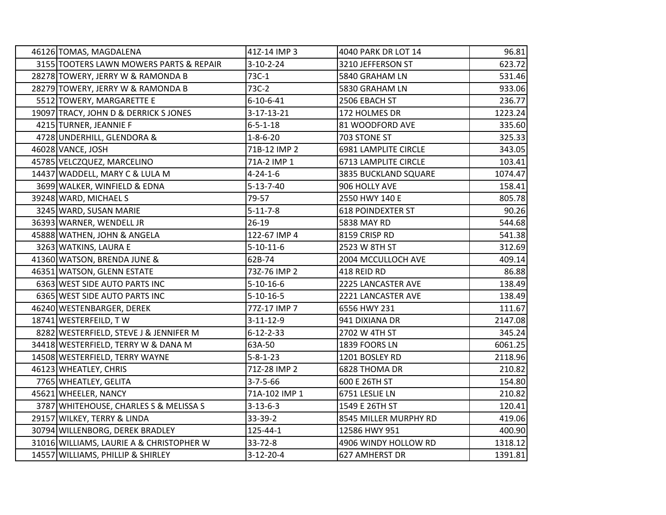| 46126 TOMAS, MAGDALENA                   | 41Z-14 IMP 3       | 4040 PARK DR LOT 14      | 96.81   |
|------------------------------------------|--------------------|--------------------------|---------|
| 3155 TOOTERS LAWN MOWERS PARTS & REPAIR  | $3 - 10 - 2 - 24$  | 3210 JEFFERSON ST        | 623.72  |
| 28278 TOWERY, JERRY W & RAMONDA B        | 73C-1              | 5840 GRAHAM LN           | 531.46  |
| 28279 TOWERY, JERRY W & RAMONDA B        | 73C-2              | 5830 GRAHAM LN           | 933.06  |
| 5512 TOWERY, MARGARETTE E                | $6 - 10 - 6 - 41$  | 2506 EBACH ST            | 236.77  |
| 19097 TRACY, JOHN D & DERRICK S JONES    | $3 - 17 - 13 - 21$ | 172 HOLMES DR            | 1223.24 |
| 4215 TURNER, JEANNIE F                   | $6 - 5 - 1 - 18$   | 81 WOODFORD AVE          | 335.60  |
| 4728 UNDERHILL, GLENDORA &               | $1 - 8 - 6 - 20$   | 703 STONE ST             | 325.33  |
| 46028 VANCE, JOSH                        | 71B-12 IMP 2       | 6981 LAMPLITE CIRCLE     | 343.05  |
| 45785 VELCZQUEZ, MARCELINO               | 71A-2 IMP 1        | 6713 LAMPLITE CIRCLE     | 103.41  |
| 14437 WADDELL, MARY C & LULA M           | $4 - 24 - 1 - 6$   | 3835 BUCKLAND SQUARE     | 1074.47 |
| 3699 WALKER, WINFIELD & EDNA             | $5 - 13 - 7 - 40$  | 906 HOLLY AVE            | 158.41  |
| 39248 WARD, MICHAEL S                    | 79-57              | 2550 HWY 140 E           | 805.78  |
| 3245 WARD, SUSAN MARIE                   | $5 - 11 - 7 - 8$   | <b>618 POINDEXTER ST</b> | 90.26   |
| 36393 WARNER, WENDELL JR                 | $26-19$            | 5838 MAY RD              | 544.68  |
| 45888 WATHEN, JOHN & ANGELA              | 122-67 IMP 4       | 8159 CRISP RD            | 541.38  |
| 3263 WATKINS, LAURA E                    | $5 - 10 - 11 - 6$  | 2523 W 8TH ST            | 312.69  |
| 41360 WATSON, BRENDA JUNE &              | 62B-74             | 2004 MCCULLOCH AVE       | 409.14  |
| 46351 WATSON, GLENN ESTATE               | 73Z-76 IMP 2       | 418 REID RD              | 86.88   |
| 6363 WEST SIDE AUTO PARTS INC            | $5 - 10 - 16 - 6$  | 2225 LANCASTER AVE       | 138.49  |
| 6365 WEST SIDE AUTO PARTS INC            | $5 - 10 - 16 - 5$  | 2221 LANCASTER AVE       | 138.49  |
| 46240 WESTENBARGER, DEREK                | 77Z-17 IMP 7       | 6556 HWY 231             | 111.67  |
| 18741 WESTERFEILD, TW                    | $3 - 11 - 12 - 9$  | 941 DIXIANA DR           | 2147.08 |
| 8282 WESTERFIELD, STEVE J & JENNIFER M   | $6 - 12 - 2 - 33$  | 2702 W 4TH ST            | 345.24  |
| 34418 WESTERFIELD, TERRY W & DANA M      | 63A-50             | 1839 FOORS LN            | 6061.25 |
| 14508 WESTERFIELD, TERRY WAYNE           | $5 - 8 - 1 - 23$   | 1201 BOSLEY RD           | 2118.96 |
| 46123 WHEATLEY, CHRIS                    | 71Z-28 IMP 2       | 6828 THOMA DR            | 210.82  |
| 7765 WHEATLEY, GELITA                    | $3 - 7 - 5 - 66$   | 600 E 26TH ST            | 154.80  |
| 45621 WHEELER, NANCY                     | 71A-102 IMP 1      | 6751 LESLIE LN           | 210.82  |
| 3787 WHITEHOUSE, CHARLES S & MELISSA S   | $3 - 13 - 6 - 3$   | 1549 E 26TH ST           | 120.41  |
| 29157 WILKEY, TERRY & LINDA              | 33-39-2            | 8545 MILLER MURPHY RD    | 419.06  |
| 30794 WILLENBORG, DEREK BRADLEY          | 125-44-1           | 12586 HWY 951            | 400.90  |
| 31016 WILLIAMS, LAURIE A & CHRISTOPHER W | 33-72-8            | 4906 WINDY HOLLOW RD     | 1318.12 |
| 14557 WILLIAMS, PHILLIP & SHIRLEY        | $3 - 12 - 20 - 4$  | 627 AMHERST DR           | 1391.81 |
|                                          |                    |                          |         |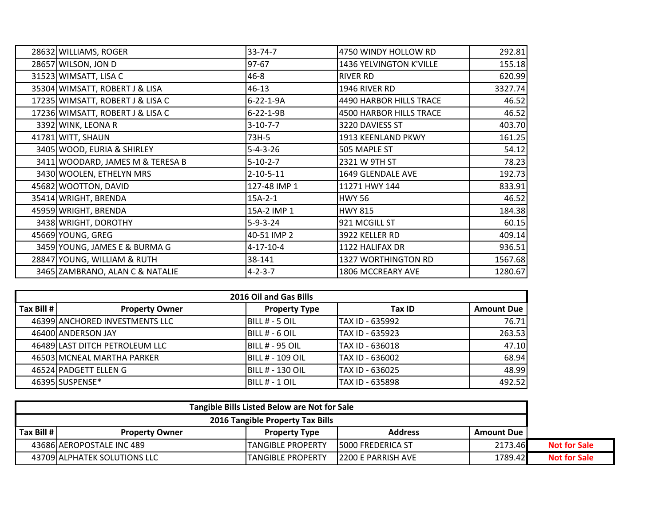| 28632 WILLIAMS, ROGER            | $33 - 74 - 7$     | 4750 WINDY HOLLOW RD    | 292.81  |
|----------------------------------|-------------------|-------------------------|---------|
| 28657 WILSON, JON D              | 97-67             | 1436 YELVINGTON K'VILLE | 155.18  |
| 31523 WIMSATT, LISA C            | $46 - 8$          | <b>RIVER RD</b>         | 620.99  |
| 35304 WIMSATT, ROBERT J & LISA   | $46 - 13$         | 1946 RIVER RD           | 3327.74 |
| 17235 WIMSATT, ROBERT J & LISA C | $6 - 22 - 1 - 9A$ | 4490 HARBOR HILLS TRACE | 46.52   |
| 17236 WIMSATT, ROBERT J & LISA C | $6 - 22 - 1 - 9B$ | 4500 HARBOR HILLS TRACE | 46.52   |
| 3392 WINK, LEONA R               | $3 - 10 - 7 - 7$  | 3220 DAVIESS ST         | 403.70  |
| 41781 WITT, SHAUN                | 73H-5             | 1913 KEENLAND PKWY      | 161.25  |
| 3405 WOOD, EURIA & SHIRLEY       | $5 - 4 - 3 - 26$  | 505 MAPLE ST            | 54.12   |
| 3411 WOODARD, JAMES M & TERESA B | $5 - 10 - 2 - 7$  | 2321 W 9TH ST           | 78.23   |
| 3430 WOOLEN, ETHELYN MRS         | $2 - 10 - 5 - 11$ | 1649 GLENDALE AVE       | 192.73  |
| 45682 WOOTTON, DAVID             | 127-48 IMP 1      | 11271 HWY 144           | 833.91  |
| 35414 WRIGHT, BRENDA             | $15A-2-1$         | <b>HWY 56</b>           | 46.52   |
| 45959 WRIGHT, BRENDA             | 15A-2 IMP 1       | <b>HWY 815</b>          | 184.38  |
| 3438 WRIGHT, DOROTHY             | $5-9-3-24$        | 921 MCGILL ST           | 60.15   |
| 45669 YOUNG, GREG                | 40-51 IMP 2       | 3922 KELLER RD          | 409.14  |
| 3459 YOUNG, JAMES E & BURMA G    | $4 - 17 - 10 - 4$ | 1122 HALIFAX DR         | 936.51  |
| 28847 YOUNG, WILLIAM & RUTH      | 38-141            | 1327 WORTHINGTON RD     | 1567.68 |
| 3465 ZAMBRANO, ALAN C & NATALIE  | $4 - 2 - 3 - 7$   | 1806 MCCREARY AVE       | 1280.67 |

| 2016 Oil and Gas Bills |                                |                          |                 |                   |  |  |
|------------------------|--------------------------------|--------------------------|-----------------|-------------------|--|--|
| Tax Bill # I           | <b>Property Owner</b>          | <b>Property Type</b>     | Tax ID          | <b>Amount Due</b> |  |  |
|                        | 46399 ANCHORED INVESTMENTS LLC | <b>BILL # - 5 OIL</b>    | TAX ID - 635992 | 76.71             |  |  |
|                        | 46400 ANDERSON JAY             | <b>IBILL # - 6 OIL</b>   | TAX ID - 635923 | 263.53            |  |  |
|                        | 46489 LAST DITCH PETROLEUM LLC | <b>BILL # - 95 OIL</b>   | TAX ID - 636018 | 47.10             |  |  |
|                        | 46503 MCNEAL MARTHA PARKER     | <b>IBILL # - 109 OIL</b> | TAX ID - 636002 | 68.94             |  |  |
|                        | 46524 PADGETT ELLEN G          | IBILL # - 130 OIL        | TAX ID - 636025 | 48.99             |  |  |
|                        | 46395 SUSPENSE*                | IBILL # - 1 OIL          | TAX ID - 635898 | 492.52            |  |  |

| Tangible Bills Listed Below are Not for Sale |                              |                      |                           |                     |                     |
|----------------------------------------------|------------------------------|----------------------|---------------------------|---------------------|---------------------|
| 2016 Tangible Property Tax Bills             |                              |                      |                           |                     |                     |
| Tax Bill $#$                                 | <b>Property Owner</b>        | <b>Property Type</b> | <b>Address</b>            | <b>Amount Due I</b> |                     |
|                                              | 43686 AEROPOSTALE INC 489    | TANGIBLE PROPERTY    | <b>15000 FREDERICA ST</b> | 2173.46             | <b>Not for Sale</b> |
|                                              | 43709 ALPHATEK SOLUTIONS LLC | TANGIBLE PROPERTY    | 12200 E PARRISH AVE       | 1789.42             | <b>Not for Sale</b> |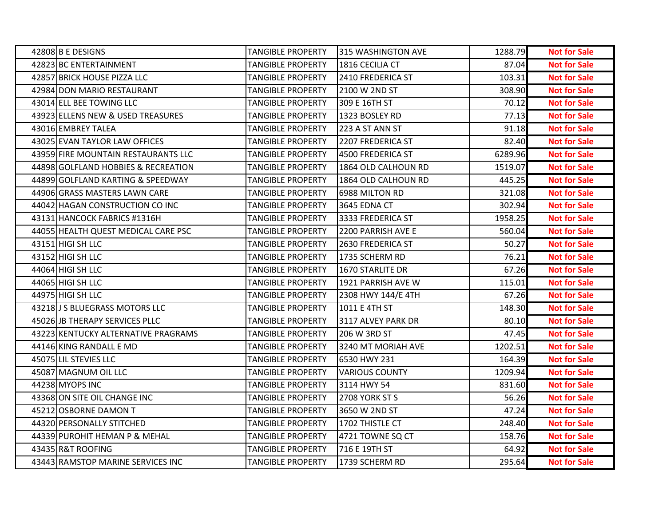| 42808 B E DESIGNS                   | <b>TANGIBLE PROPERTY</b> | 315 WASHINGTON AVE    | 1288.79 | <b>Not for Sale</b> |
|-------------------------------------|--------------------------|-----------------------|---------|---------------------|
| 42823 BC ENTERTAINMENT              | <b>TANGIBLE PROPERTY</b> | 1816 CECILIA CT       | 87.04   | <b>Not for Sale</b> |
| 42857 BRICK HOUSE PIZZA LLC         | <b>TANGIBLE PROPERTY</b> | 2410 FREDERICA ST     | 103.31  | <b>Not for Sale</b> |
| 42984 DON MARIO RESTAURANT          | <b>TANGIBLE PROPERTY</b> | 2100 W 2ND ST         | 308.90  | <b>Not for Sale</b> |
| 43014 ELL BEE TOWING LLC            | <b>TANGIBLE PROPERTY</b> | 309 E 16TH ST         | 70.12   | <b>Not for Sale</b> |
| 43923 ELLENS NEW & USED TREASURES   | <b>TANGIBLE PROPERTY</b> | 1323 BOSLEY RD        | 77.13   | <b>Not for Sale</b> |
| 43016 EMBREY TALEA                  | <b>TANGIBLE PROPERTY</b> | 223 A ST ANN ST       | 91.18   | <b>Not for Sale</b> |
| 43025 EVAN TAYLOR LAW OFFICES       | <b>TANGIBLE PROPERTY</b> | 2207 FREDERICA ST     | 82.40   | <b>Not for Sale</b> |
| 43959 FIRE MOUNTAIN RESTAURANTS LLC | <b>TANGIBLE PROPERTY</b> | 4500 FREDERICA ST     | 6289.96 | <b>Not for Sale</b> |
| 44898 GOLFLAND HOBBIES & RECREATION | <b>TANGIBLE PROPERTY</b> | 1864 OLD CALHOUN RD   | 1519.07 | <b>Not for Sale</b> |
| 44899 GOLFLAND KARTING & SPEEDWAY   | <b>TANGIBLE PROPERTY</b> | 1864 OLD CALHOUN RD   | 445.25  | <b>Not for Sale</b> |
| 44906 GRASS MASTERS LAWN CARE       | <b>TANGIBLE PROPERTY</b> | 6988 MILTON RD        | 321.08  | <b>Not for Sale</b> |
| 44042 HAGAN CONSTRUCTION CO INC     | <b>TANGIBLE PROPERTY</b> | 3645 EDNA CT          | 302.94  | <b>Not for Sale</b> |
| 43131 HANCOCK FABRICS #1316H        | <b>TANGIBLE PROPERTY</b> | 3333 FREDERICA ST     | 1958.25 | <b>Not for Sale</b> |
| 44055 HEALTH QUEST MEDICAL CARE PSC | <b>TANGIBLE PROPERTY</b> | 2200 PARRISH AVE E    | 560.04  | <b>Not for Sale</b> |
| 43151 HIGI SH LLC                   | <b>TANGIBLE PROPERTY</b> | 2630 FREDERICA ST     | 50.27   | <b>Not for Sale</b> |
| 43152 HIGI SH LLC                   | <b>TANGIBLE PROPERTY</b> | 1735 SCHERM RD        | 76.21   | <b>Not for Sale</b> |
| 44064 HIGI SH LLC                   | <b>TANGIBLE PROPERTY</b> | 1670 STARLITE DR      | 67.26   | <b>Not for Sale</b> |
| 44065 HIGI SH LLC                   | <b>TANGIBLE PROPERTY</b> | 1921 PARRISH AVE W    | 115.01  | <b>Not for Sale</b> |
| 44975 HIGI SH LLC                   | <b>TANGIBLE PROPERTY</b> | 2308 HWY 144/E 4TH    | 67.26   | <b>Not for Sale</b> |
| 43218 J S BLUEGRASS MOTORS LLC      | <b>TANGIBLE PROPERTY</b> | 1011 E 4TH ST         | 148.30  | <b>Not for Sale</b> |
| 45026 JB THERAPY SERVICES PLLC      | <b>TANGIBLE PROPERTY</b> | 3117 ALVEY PARK DR    | 80.10   | <b>Not for Sale</b> |
| 43223 KENTUCKY ALTERNATIVE PRAGRAMS | TANGIBLE PROPERTY        | 206 W 3RD ST          | 47.45   | <b>Not for Sale</b> |
| 44146 KING RANDALL E MD             | <b>TANGIBLE PROPERTY</b> | 3240 MT MORIAH AVE    | 1202.51 | <b>Not for Sale</b> |
| 45075 LIL STEVIES LLC               | <b>TANGIBLE PROPERTY</b> | 6530 HWY 231          | 164.39  | <b>Not for Sale</b> |
| 45087 MAGNUM OIL LLC                | <b>TANGIBLE PROPERTY</b> | <b>VARIOUS COUNTY</b> | 1209.94 | <b>Not for Sale</b> |
| 44238 MYOPS INC                     | <b>TANGIBLE PROPERTY</b> | 3114 HWY 54           | 831.60  | <b>Not for Sale</b> |
| 43368 ON SITE OIL CHANGE INC        | <b>TANGIBLE PROPERTY</b> | 2708 YORK ST S        | 56.26   | <b>Not for Sale</b> |
| 45212 OSBORNE DAMON T               | <b>TANGIBLE PROPERTY</b> | 3650 W 2ND ST         | 47.24   | <b>Not for Sale</b> |
| 44320 PERSONALLY STITCHED           | <b>TANGIBLE PROPERTY</b> | 1702 THISTLE CT       | 248.40  | <b>Not for Sale</b> |
| 44339 PUROHIT HEMAN P & MEHAL       | <b>TANGIBLE PROPERTY</b> | 4721 TOWNE SQ CT      | 158.76  | <b>Not for Sale</b> |
| 43435 R&T ROOFING                   | <b>TANGIBLE PROPERTY</b> | 716 E 19TH ST         | 64.92   | <b>Not for Sale</b> |
| 43443 RAMSTOP MARINE SERVICES INC   | <b>TANGIBLE PROPERTY</b> | 1739 SCHERM RD        | 295.64  | <b>Not for Sale</b> |